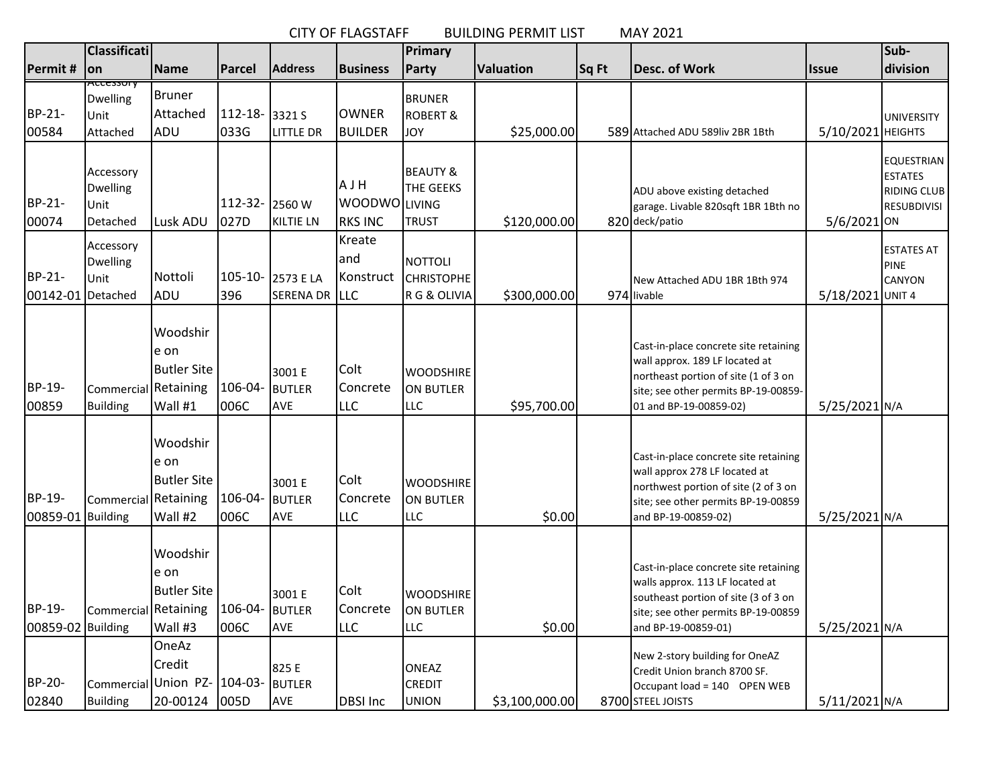## CITY OF FLAGSTAFF BUILDING PERMIT LIST MAY 2021

|                             | <b>Classificati</b>                                         |                                                                                            |                        |                                       |                                        | Primary                                             |                  |       |                                                                                                                                                                                   |                   | Sub-                                                                            |
|-----------------------------|-------------------------------------------------------------|--------------------------------------------------------------------------------------------|------------------------|---------------------------------------|----------------------------------------|-----------------------------------------------------|------------------|-------|-----------------------------------------------------------------------------------------------------------------------------------------------------------------------------------|-------------------|---------------------------------------------------------------------------------|
| Permit#                     | on                                                          | Name                                                                                       | <b>Parcel</b>          | <b>Address</b>                        | <b>Business</b>                        | Party                                               | <b>Valuation</b> | Sq Ft | <b>Desc. of Work</b>                                                                                                                                                              | <b>Issue</b>      | division                                                                        |
| BP-21-<br>00584             | <del>Accessory</del><br><b>Dwelling</b><br>Unit<br>Attached | <b>Bruner</b><br>Attached<br>ADU                                                           | 112-18- 3321 S<br>033G | LITTLE DR                             | <b>OWNER</b><br><b>BUILDER</b>         | <b>BRUNER</b><br><b>ROBERT &amp;</b><br><b>JOY</b>  | \$25,000.00      |       | 589 Attached ADU 589liv 2BR 1Bth                                                                                                                                                  | 5/10/2021 HEIGHTS | <b>UNIVERSITY</b>                                                               |
| BP-21-<br>00074             | Accessory<br><b>Dwelling</b><br>Unit<br>Detached            | Lusk ADU                                                                                   | 112-32- 2560 W<br>027D | <b>KILTIE LN</b>                      | AJH<br>WOODWO LIVING<br><b>RKS INC</b> | <b>BEAUTY &amp;</b><br>THE GEEKS<br><b>TRUST</b>    | \$120,000.00     |       | ADU above existing detached<br>garage. Livable 820sqft 1BR 1Bth no<br>820 deck/patio                                                                                              | $5/6/2021$ ON     | <b>EQUESTRIAN</b><br><b>ESTATES</b><br><b>RIDING CLUB</b><br><b>RESUBDIVISI</b> |
| BP-21-<br>00142-01 Detached | Accessory<br><b>Dwelling</b><br>Unit                        | Nottoli<br>ADU                                                                             | 396                    | 105-10- 2573 ELA<br>SERENA DR LLC     | Kreate<br>and<br>Konstruct             | <b>NOTTOLI</b><br><b>CHRISTOPHE</b><br>R G & OLIVIA | \$300,000.00     |       | New Attached ADU 1BR 1Bth 974<br>974 livable                                                                                                                                      | 5/18/2021 UNIT 4  | <b>ESTATES AT</b><br><b>PINE</b><br>CANYON                                      |
| BP-19-<br>00859             | Commercial Retaining<br><b>Building</b>                     | Woodshir<br>e on<br><b>Butler Site</b><br>Wall #1                                          | 106-04-<br>006C        | 3001 E<br>BUTLER<br><b>AVE</b>        | Colt<br>Concrete<br>LLC                | <b>WOODSHIRE</b><br><b>ON BUTLER</b><br><b>LLC</b>  | \$95,700.00      |       | Cast-in-place concrete site retaining<br>wall approx. 189 LF located at<br>northeast portion of site (1 of 3 on<br>site; see other permits BP-19-00859-<br>01 and BP-19-00859-02) | 5/25/2021 N/A     |                                                                                 |
| BP-19-<br>00859-01 Building | Commercial Retaining                                        | Woodshir<br>e on<br><b>Butler Site</b><br>Wall #2                                          | 106-04-<br>006C        | 3001 E<br><b>BUTLER</b><br><b>AVE</b> | Colt<br>Concrete<br><b>LLC</b>         | <b>WOODSHIRE</b><br><b>ON BUTLER</b><br><b>LLC</b>  | \$0.00           |       | Cast-in-place concrete site retaining<br>wall approx 278 LF located at<br>northwest portion of site (2 of 3 on<br>site; see other permits BP-19-00859<br>and BP-19-00859-02)      | 5/25/2021 N/A     |                                                                                 |
| BP-19-<br>00859-02 Building |                                                             | Woodshir<br>e on<br><b>Butler Site</b><br>Commercial Retaining   106-04- BUTLER<br>Wall #3 | 006C                   | 3001 E<br><b>AVE</b>                  | Colt<br>Concrete<br><b>LLC</b>         | <b>WOODSHIRE</b><br>ON BUTLER<br><b>LLC</b>         | \$0.00           |       | Cast-in-place concrete site retaining<br>walls approx. 113 LF located at<br>southeast portion of site (3 of 3 on<br>site; see other permits BP-19-00859<br>and BP-19-00859-01)    | 5/25/2021 N/A     |                                                                                 |
| BP-20-<br>02840             | Commercial<br><b>Building</b>                               | OneAz<br>Credit<br>Union PZ- 104-03- BUTLER<br>20-00124                                    | 005D                   | 825 E<br>AVE                          | <b>DBSI Inc</b>                        | ONEAZ<br><b>CREDIT</b><br><b>UNION</b>              | \$3,100,000.00   |       | New 2-story building for OneAZ<br>Credit Union branch 8700 SF.<br>Occupant load = 140 OPEN WEB<br>8700 STEEL JOISTS                                                               | 5/11/2021 N/A     |                                                                                 |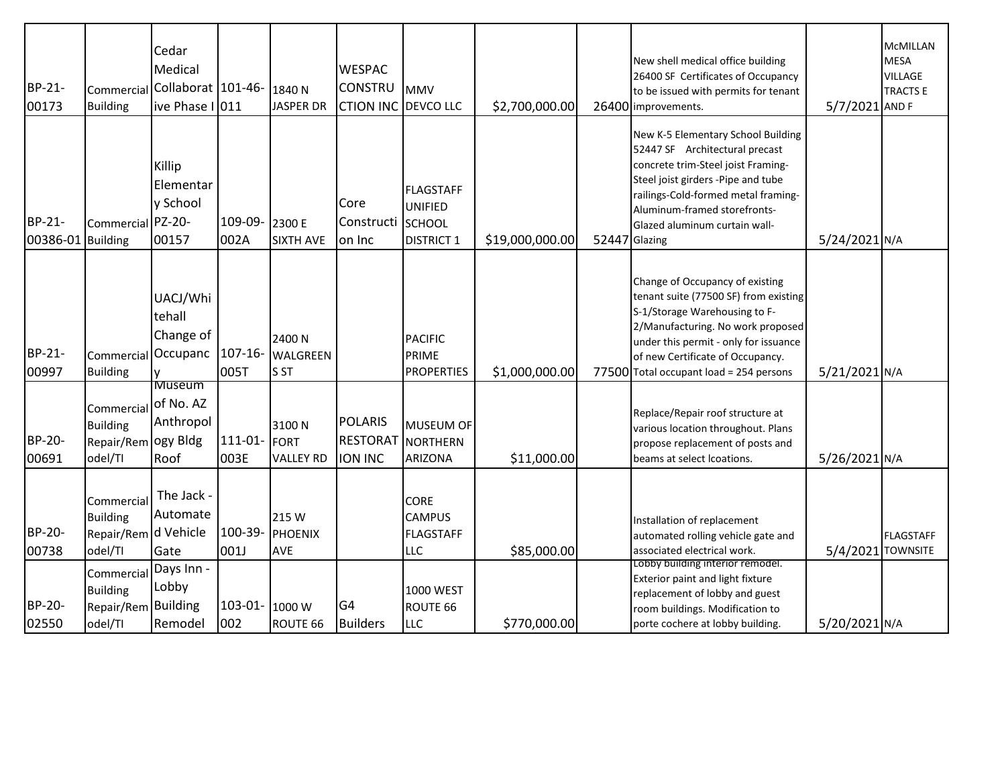| BP-21-<br>00173        | Building                                                          | Cedar<br>Medical<br>Commercial Collaborat 101-46- 1840 N<br>ive Phase I 011 |                       | <b>JASPER DR</b>               | <b>WESPAC</b><br><b>CONSTRU</b><br><b>CTION INC</b> | MMV<br><b>DEVCO LLC</b>                                           | \$2,700,000.00  |               | New shell medical office building<br>26400 SF Certificates of Occupancy<br>to be issued with permits for tenant<br>26400 improvements.                                                                                                                                 | 5/7/2021 AND F | <b>McMILLAN</b><br><b>MESA</b><br><b>VILLAGE</b><br><b>TRACTS E</b> |
|------------------------|-------------------------------------------------------------------|-----------------------------------------------------------------------------|-----------------------|--------------------------------|-----------------------------------------------------|-------------------------------------------------------------------|-----------------|---------------|------------------------------------------------------------------------------------------------------------------------------------------------------------------------------------------------------------------------------------------------------------------------|----------------|---------------------------------------------------------------------|
| BP-21-<br>00386-01     | Commercial PZ-20-<br><b>Building</b>                              | Killip<br>Elementar<br>y School<br>00157                                    | 109-09-<br>002A       | 2300 E<br><b>SIXTH AVE</b>     | Core<br>Constructi<br>on Inc                        | <b>FLAGSTAFF</b><br><b>UNIFIED</b><br>SCHOOL<br><b>DISTRICT 1</b> | \$19,000,000.00 | 52447 Glazing | New K-5 Elementary School Building<br>52447 SF Architectural precast<br>concrete trim-Steel joist Framing-<br>Steel joist girders -Pipe and tube<br>railings-Cold-formed metal framing-<br>Aluminum-framed storefronts-<br>Glazed aluminum curtain wall-               | 5/24/2021 N/A  |                                                                     |
| BP-21-<br>00997        | <b>Building</b>                                                   | UACJ/Whi<br>tehall<br>Change of<br>Commercial Occupanc   107-16- WALGREEN   | 005T                  | 2400 N<br>ls st                |                                                     | <b>PACIFIC</b><br>PRIME<br><b>PROPERTIES</b>                      | \$1,000,000.00  |               | Change of Occupancy of existing<br>tenant suite (77500 SF) from existing<br>S-1/Storage Warehousing to F-<br>2/Manufacturing. No work proposed<br>under this permit - only for issuance<br>of new Certificate of Occupancy.<br>77500 Total occupant load = 254 persons | 5/21/2021 N/A  |                                                                     |
| BP-20-<br>00691        | Commercial<br><b>Building</b><br>Repair/Rem   Ogy Bldg<br>odel/TI | <b>Museum</b><br>of No. AZ<br>Anthropol<br>Roof                             | 111-01- FORT<br>003E  | 3100N<br><b>VALLEY RD</b>      | <b>POLARIS</b><br><b>RESTORAT</b><br>ION INC        | <b>MUSEUM OF</b><br>NORTHERN<br><b>ARIZONA</b>                    | \$11,000.00     |               | Replace/Repair roof structure at<br>various location throughout. Plans<br>propose replacement of posts and<br>beams at select Icoations.                                                                                                                               | 5/26/2021 N/A  |                                                                     |
| BP-20-<br>00738        | Commercial<br><b>Building</b><br>Repair/Rem d Vehicle<br>odel/TI  | The Jack -<br>Automate<br>Gate                                              | 001J                  | 215W<br>100-39- PHOENIX<br>AVE |                                                     | <b>CORE</b><br><b>CAMPUS</b><br><b>FLAGSTAFF</b><br><b>LLC</b>    | \$85,000.00     |               | Installation of replacement<br>automated rolling vehicle gate and<br>associated electrical work.                                                                                                                                                                       |                | <b>FLAGSTAFF</b><br>5/4/2021 TOWNSITE                               |
| <b>BP-20-</b><br>02550 | Commercial<br><b>Building</b><br>Repair/Rem Building<br>odel/TI   | Days Inn -<br>Lobby<br>Remodel                                              | 103-01- 1000 W<br>002 | ROUTE 66                       | G <sub>4</sub><br><b>Builders</b>                   | 1000 WEST<br>ROUTE 66<br><b>LLC</b>                               | \$770,000.00    |               | Lobby building interior remodel.<br>Exterior paint and light fixture<br>replacement of lobby and guest<br>room buildings. Modification to<br>porte cochere at lobby building.                                                                                          | 5/20/2021 N/A  |                                                                     |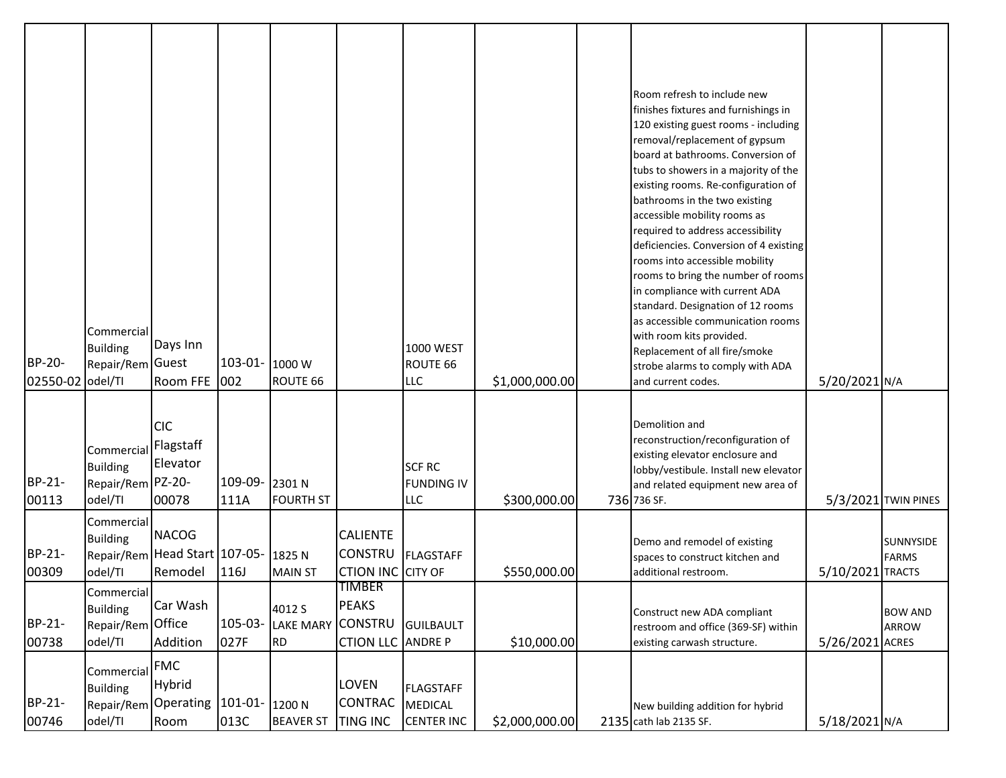| BP-20-           | Commercial<br><b>Building</b><br>Repair/Rem Guest             | Days Inn                                                        | 103-01- 1000 W         |                                  |                                                                            | 1000 WEST<br>ROUTE 66                            |                | Room refresh to include new<br>finishes fixtures and furnishings in<br>120 existing guest rooms - including<br>removal/replacement of gypsum<br>board at bathrooms. Conversion of<br>tubs to showers in a majority of the<br>existing rooms. Re-configuration of<br>bathrooms in the two existing<br>accessible mobility rooms as<br>required to address accessibility<br>deficiencies. Conversion of 4 existing<br>rooms into accessible mobility<br>rooms to bring the number of rooms<br>in compliance with current ADA<br>standard. Designation of 12 rooms<br>as accessible communication rooms<br>with room kits provided.<br>Replacement of all fire/smoke<br>strobe alarms to comply with ADA |                  |                                |
|------------------|---------------------------------------------------------------|-----------------------------------------------------------------|------------------------|----------------------------------|----------------------------------------------------------------------------|--------------------------------------------------|----------------|-------------------------------------------------------------------------------------------------------------------------------------------------------------------------------------------------------------------------------------------------------------------------------------------------------------------------------------------------------------------------------------------------------------------------------------------------------------------------------------------------------------------------------------------------------------------------------------------------------------------------------------------------------------------------------------------------------|------------------|--------------------------------|
| 02550-02 odel/TI |                                                               | <b>Room FFE</b>                                                 | 002                    | ROUTE 66                         |                                                                            | <b>LLC</b>                                       | \$1,000,000.00 | and current codes.                                                                                                                                                                                                                                                                                                                                                                                                                                                                                                                                                                                                                                                                                    | 5/20/2021 N/A    |                                |
| BP-21-<br>00113  | Commercial<br><b>Building</b><br>Repair/Rem PZ-20-<br>odel/TI | <b>CIC</b><br>Flagstaff<br>Elevator<br>00078                    | 109-09- 2301 N<br>111A | <b>FOURTH ST</b>                 |                                                                            | <b>SCF RC</b><br><b>FUNDING IV</b><br><b>LLC</b> | \$300,000.00   | Demolition and<br>reconstruction/reconfiguration of<br>existing elevator enclosure and<br>lobby/vestibule. Install new elevator<br>and related equipment new area of<br>736 736 SF.                                                                                                                                                                                                                                                                                                                                                                                                                                                                                                                   |                  | 5/3/2021 TWIN PINES            |
| BP-21-<br>00309  | Commercial<br><b>Building</b><br>odel/TI                      | <b>NACOG</b><br>Repair/Rem Head Start 107-05- 1825 N<br>Remodel | <b>116J</b>            | <b>MAIN ST</b>                   | <b>CALIENTE</b><br><b>CONSTRU</b><br>CTION INC CITY OF                     | FLAGSTAFF                                        | \$550,000.00   | Demo and remodel of existing<br>spaces to construct kitchen and<br>additional restroom.                                                                                                                                                                                                                                                                                                                                                                                                                                                                                                                                                                                                               | 5/10/2021 TRACTS | SUNNYSIDE<br><b>FARMS</b>      |
| BP-21-<br>00738  | Commercial<br><b>Building</b><br>Repair/Rem<br>odel/TI        | Car Wash<br>Office<br>Addition                                  | 105-03-<br>027F        | 4012 S<br>LAKE MARY<br><b>RD</b> | <b>TIMBER</b><br><b>PEAKS</b><br><b>CONSTRU</b><br><b>CTION LLC ANDREP</b> | GUILBAULT                                        | \$10,000.00    | Construct new ADA compliant<br>restroom and office (369-SF) within<br>existing carwash structure.                                                                                                                                                                                                                                                                                                                                                                                                                                                                                                                                                                                                     | 5/26/2021 ACRES  | <b>BOW AND</b><br><b>ARROW</b> |
| BP-21-<br>00746  | Commercial<br><b>Building</b><br>odel/TI                      | FMC<br><b>Hybrid</b><br>Repair/Rem Operating<br>Room            | 101-01-1200N<br>013C   | <b>BEAVER ST</b>                 | LOVEN<br><b>CONTRAC</b><br><b>TING INC</b>                                 | <b>FLAGSTAFF</b><br>MEDICAL<br><b>CENTER INC</b> | \$2,000,000.00 | New building addition for hybrid<br>2135 cath lab 2135 SF.                                                                                                                                                                                                                                                                                                                                                                                                                                                                                                                                                                                                                                            | 5/18/2021 N/A    |                                |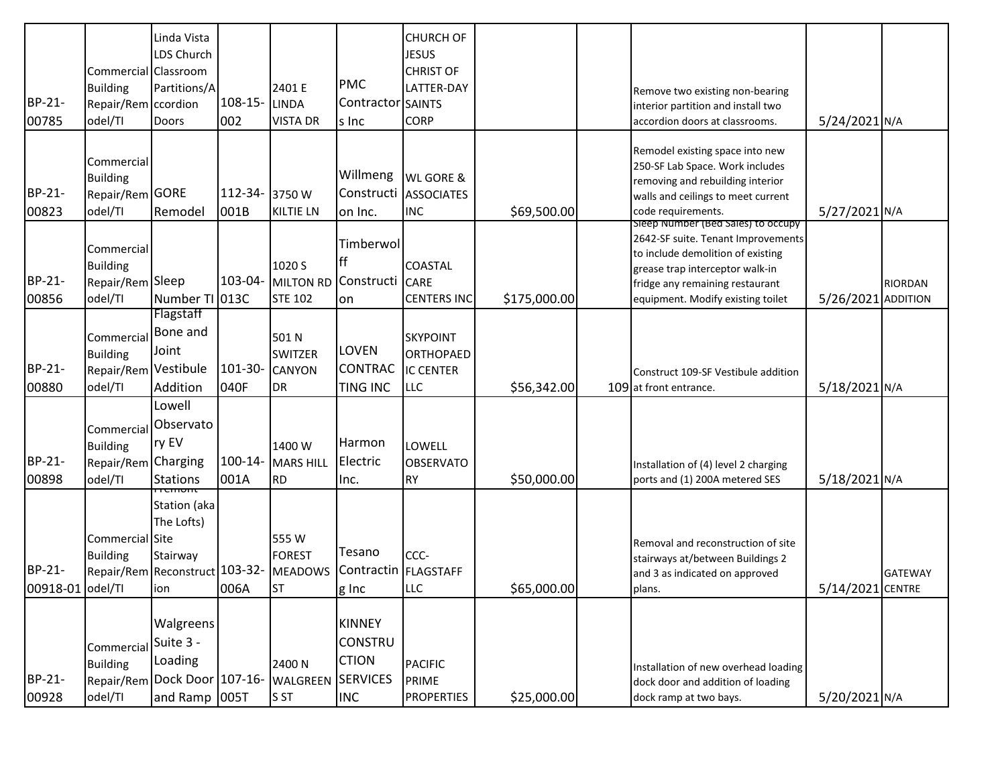| BP-21-<br>00785            | Commercial Classroom<br><b>Building</b><br>Repair/Rem ccordion<br>odel/TI | Linda Vista<br>LDS Church<br>Partitions/A<br><b>Doors</b> | 108-15-<br>002     | 2401 E<br>LINDA<br><b>VISTA DR</b>            | <b>PMC</b><br>Contractor SAINTS<br>s Inc                                         | <b>CHURCH OF</b><br><b>JESUS</b><br><b>CHRIST OF</b><br>LATTER-DAY<br><b>CORP</b> |              | Remove two existing non-bearing<br>interior partition and install two<br>accordion doors at classrooms.                                                                                                                  | 5/24/2021 N/A    |                                   |
|----------------------------|---------------------------------------------------------------------------|-----------------------------------------------------------|--------------------|-----------------------------------------------|----------------------------------------------------------------------------------|-----------------------------------------------------------------------------------|--------------|--------------------------------------------------------------------------------------------------------------------------------------------------------------------------------------------------------------------------|------------------|-----------------------------------|
| BP-21-<br>00823            | Commercial<br><b>Building</b><br>Repair/Rem GORE<br>odel/TI               | Remodel                                                   | 112-34-<br>001B    | 3750W<br><b>KILTIE LN</b>                     | Willmeng<br>Constructi<br>on Inc.                                                | <b>WL GORE &amp;</b><br><b>ASSOCIATES</b><br>IINC                                 | \$69,500.00  | Remodel existing space into new<br>250-SF Lab Space. Work includes<br>removing and rebuilding interior<br>walls and ceilings to meet current<br>code requirements.                                                       | 5/27/2021 N/A    |                                   |
| BP-21-<br>00856            | Commercial<br><b>Building</b><br>Repair/Rem Sleep<br>odel/TI              | Number TI 013C                                            | 103-04-            | 1020 S<br>MILTON RD<br><b>STE 102</b>         | Timberwol<br>ff<br>Constructi<br>lon                                             | COASTAL<br><b>CARE</b><br><b>CENTERS INC</b>                                      | \$175,000.00 | Sleep Number (Bed Sales) to occupy<br>2642-SF suite. Tenant Improvements<br>to include demolition of existing<br>grease trap interceptor walk-in<br>fridge any remaining restaurant<br>equipment. Modify existing toilet | 5/26/2021        | <b>RIORDAN</b><br><b>ADDITION</b> |
| BP-21-<br>00880            | Commercial<br><b>Building</b><br>Repair/Rem Vestibule<br>odel/TI          | Flagstaff<br>Bone and<br>Joint<br>Addition                | 101-30-<br>040F    | 501N<br><b>SWITZER</b><br><b>CANYON</b><br>DR | LOVEN<br><b>CONTRAC</b><br><b>TING INC</b>                                       | <b>SKYPOINT</b><br><b>ORTHOPAED</b><br><b>IC CENTER</b><br><b>LLC</b>             | \$56,342.00  | Construct 109-SF Vestibule addition<br>109 at front entrance.                                                                                                                                                            | 5/18/2021 N/A    |                                   |
| BP-21-<br>00898            | Commercial<br><b>Building</b><br>Repair/Rem Charging<br>odel/TI           | Lowell<br>Observato<br>ry EV<br><b>Stations</b>           | $100 - 14$<br>001A | 1400W<br>MARS HILL<br><b>RD</b>               | Harmon<br>Electric<br>Inc.                                                       | LOWELL<br><b>OBSERVATO</b><br><b>RY</b>                                           | \$50,000.00  | Installation of (4) level 2 charging<br>ports and (1) 200A metered SES                                                                                                                                                   | 5/18/2021 N/A    |                                   |
| BP-21-<br>00918-01 odel/TI | Commercial Site<br><b>Building</b><br>Repair/Rem Reconstruct 103-32-      | Station (aka<br>The Lofts)<br>Stairway<br>lion            | 006A               | 555W<br>FOREST<br><b>MEADOWS</b><br><b>ST</b> | Tesano<br>Contractin   FLAGSTAFF<br>g Inc                                        | CCC-<br><b>LLC</b>                                                                | \$65,000.00  | Removal and reconstruction of site<br>stairways at/between Buildings 2<br>and 3 as indicated on approved<br>plans.                                                                                                       | 5/14/2021 CENTRE | <b>GATEWAY</b>                    |
| BP-21-<br>00928            | Commercial<br><b>Building</b><br>Repair/Rem Dock Door 107-16-<br>odel/TI  | Walgreens<br>Suite 3 -<br>Loading<br>and Ramp 005T        |                    | 2400 N<br><b>WALGREEN</b><br><b>S</b> ST      | <b>KINNEY</b><br><b>CONSTRU</b><br><b>CTION</b><br><b>SERVICES</b><br><b>INC</b> | <b>PACIFIC</b><br>PRIME<br><b>PROPERTIES</b>                                      | \$25,000.00  | Installation of new overhead loading<br>dock door and addition of loading<br>dock ramp at two bays.                                                                                                                      | 5/20/2021 N/A    |                                   |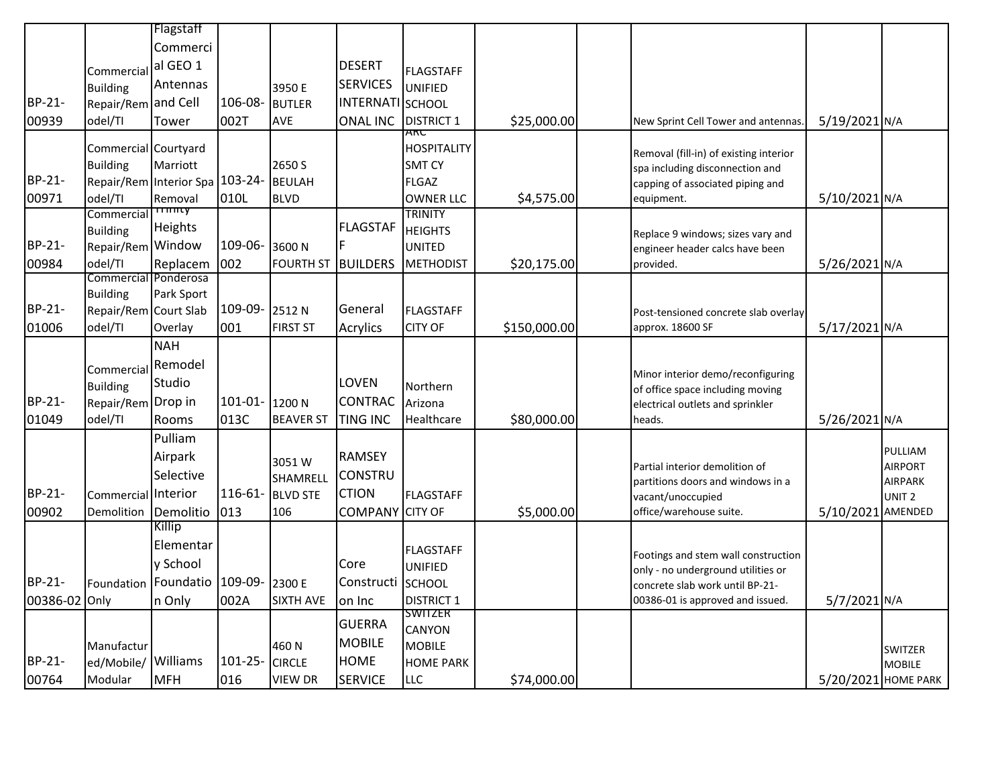|               |                                 | Flagstaff         |              |                        |                  |                          |              |                                              |                     |                   |
|---------------|---------------------------------|-------------------|--------------|------------------------|------------------|--------------------------|--------------|----------------------------------------------|---------------------|-------------------|
|               |                                 | Commerci          |              |                        |                  |                          |              |                                              |                     |                   |
|               | Commercial                      | al GEO 1          |              |                        | <b>DESERT</b>    | <b>FLAGSTAFF</b>         |              |                                              |                     |                   |
|               | <b>Building</b>                 | Antennas          |              | 3950 E                 | <b>SERVICES</b>  | UNIFIED                  |              |                                              |                     |                   |
| BP-21-        | Repair/Rem and Cell             |                   | 106-08-      | <b>BUTLER</b>          | INTERNATI SCHOOL |                          |              |                                              |                     |                   |
| 00939         | odel/TI                         | Tower             | 002T         | AVE                    | <b>ONAL INC</b>  | <b>DISTRICT 1</b>        | \$25,000.00  | New Sprint Cell Tower and antennas.          | 5/19/2021 N/A       |                   |
|               |                                 |                   |              |                        |                  | AKC                      |              |                                              |                     |                   |
|               | Commercial Courtyard            |                   |              |                        |                  | <b>HOSPITALITY</b>       |              | Removal (fill-in) of existing interior       |                     |                   |
|               | <b>Building</b>                 | Marriott          |              | 2650 S                 |                  | <b>SMT CY</b>            |              | spa including disconnection and              |                     |                   |
| BP-21-        | Repair/Rem Interior Spa 103-24- |                   |              | BEULAH                 |                  | <b>FLGAZ</b>             |              | capping of associated piping and             |                     |                   |
| 00971         | odel/TI                         | Removal           | 010L         | <b>BLVD</b>            |                  | <b>OWNER LLC</b>         | \$4,575.00   | equipment.                                   | 5/10/2021 N/A       |                   |
|               | Commercial                      | <del>THINLY</del> |              |                        |                  | <b>TRINITY</b>           |              |                                              |                     |                   |
|               | <b>Building</b>                 | <b>Heights</b>    |              |                        | <b>FLAGSTAF</b>  | <b>HEIGHTS</b>           |              | Replace 9 windows; sizes vary and            |                     |                   |
| BP-21-        | Repair/Rem Window               |                   | 109-06-      | 3600N                  | F                | <b>UNITED</b>            |              | engineer header calcs have been              |                     |                   |
| 00984         | odel/TI                         | Replacem          | 002          | <b>FOURTH ST</b>       | <b>BUILDERS</b>  | <b>METHODIST</b>         | \$20,175.00  | provided.                                    | 5/26/2021 N/A       |                   |
|               | Commercial Ponderosa            |                   |              |                        |                  |                          |              |                                              |                     |                   |
| BP-21-        | <b>Building</b>                 | Park Sport        | 109-09-      |                        | General          |                          |              |                                              |                     |                   |
|               | Repair/Rem                      | Court Slab        |              | 2512N                  |                  | <b>FLAGSTAFF</b>         |              | Post-tensioned concrete slab overlay         |                     |                   |
| 01006         | odel/TI                         | Overlay           | 001          | <b>FIRST ST</b>        | <b>Acrylics</b>  | <b>CITY OF</b>           | \$150,000.00 | approx. 18600 SF                             | 5/17/2021 N/A       |                   |
|               |                                 | <b>NAH</b>        |              |                        |                  |                          |              |                                              |                     |                   |
|               | Commercial                      | Remodel           |              |                        |                  |                          |              | Minor interior demo/reconfiguring            |                     |                   |
|               | <b>Building</b>                 | Studio            |              |                        | <b>LOVEN</b>     | Northern                 |              | of office space including moving             |                     |                   |
| BP-21-        | Repair/Rem Drop in              |                   | 101-01-1200N |                        | <b>CONTRAC</b>   | Arizona                  |              | electrical outlets and sprinkler             |                     |                   |
| 01049         | odel/TI                         | Rooms             | 013C         | <b>BEAVER ST</b>       | <b>TING INC</b>  | Healthcare               | \$80,000.00  | heads.                                       | 5/26/2021 N/A       |                   |
|               |                                 | Pulliam           |              |                        |                  |                          |              |                                              |                     |                   |
|               |                                 | Airpark           |              | 3051W                  | <b>RAMSEY</b>    |                          |              |                                              |                     | PULLIAM           |
|               |                                 | Selective         |              | SHAMRELL               | <b>CONSTRU</b>   |                          |              | Partial interior demolition of               |                     | <b>AIRPORT</b>    |
| BP-21-        | Commercial                      | Interior          | 116-61-      | <b>BLVD STE</b>        | <b>CTION</b>     | <b>FLAGSTAFF</b>         |              | partitions doors and windows in a            |                     | <b>AIRPARK</b>    |
| 00902         | Demolition                      | Demolitio         | 013          | 106                    | COMPANY CITY OF  |                          | \$5,000.00   | vacant/unoccupied<br>office/warehouse suite. | 5/10/2021 AMENDED   | UNIT <sub>2</sub> |
|               |                                 | Killip            |              |                        |                  |                          |              |                                              |                     |                   |
|               |                                 | Elementar         |              |                        |                  |                          |              |                                              |                     |                   |
|               |                                 |                   |              |                        |                  | <b>FLAGSTAFF</b>         |              | Footings and stem wall construction          |                     |                   |
|               |                                 | y School          |              |                        | Core             | <b>UNIFIED</b>           |              | only - no underground utilities or           |                     |                   |
| BP-21-        | Foundation                      | Foundatio         | 109-09-      | 2300 E                 | Constructi       | SCHOOL                   |              | concrete slab work until BP-21-              |                     |                   |
| 00386-02 Only |                                 | n Only            | 002A         | <b>SIXTH AVE</b>       | on Inc           | <b>DISTRICT 1</b>        |              | 00386-01 is approved and issued.             | 5/7/2021 N/A        |                   |
|               |                                 |                   |              |                        | <b>GUERRA</b>    | SWITZER<br><b>CANYON</b> |              |                                              |                     |                   |
|               |                                 |                   |              |                        | <b>MOBILE</b>    | <b>MOBILE</b>            |              |                                              |                     |                   |
| BP-21-        | Manufactur<br>ed/Mobile/        | Williams          | 101-25-      | 460 N<br><b>CIRCLE</b> | <b>HOME</b>      | <b>HOME PARK</b>         |              |                                              |                     | <b>SWITZER</b>    |
| 00764         | Modular                         | MFH               | 016          | <b>VIEW DR</b>         | <b>SERVICE</b>   | <b>LLC</b>               | \$74,000.00  |                                              | 5/20/2021 HOME PARK | <b>MOBILE</b>     |
|               |                                 |                   |              |                        |                  |                          |              |                                              |                     |                   |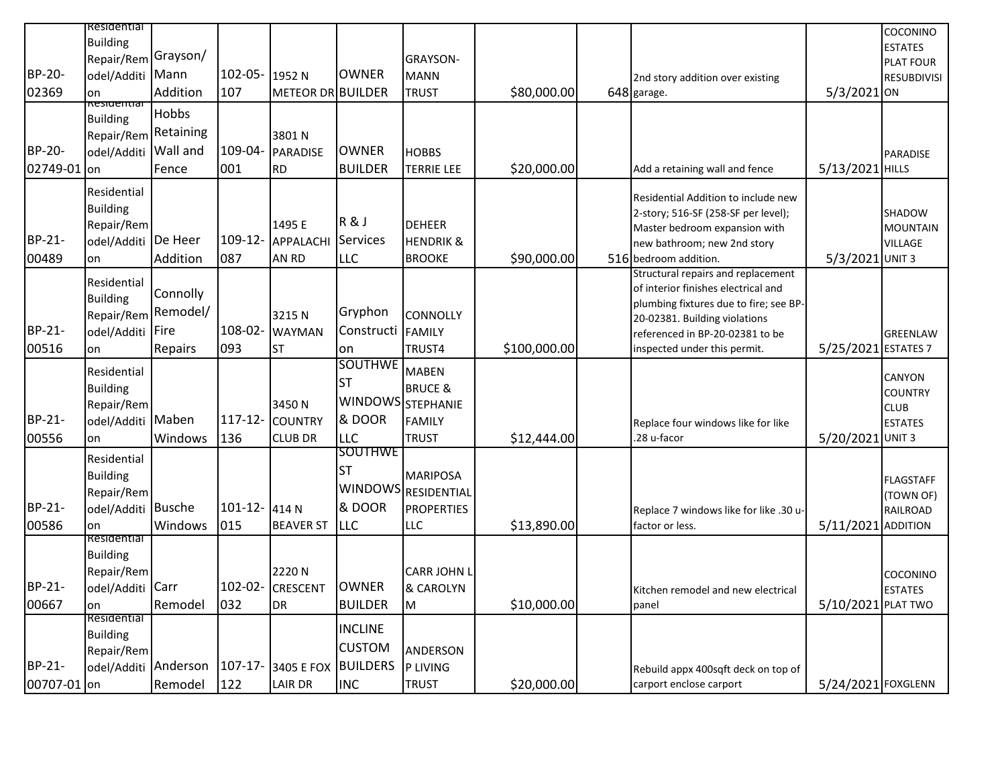|             | <b>TResidential</b>    |          |                |                                                    |                   |                      |              |                                                                            |                      |                                    |
|-------------|------------------------|----------|----------------|----------------------------------------------------|-------------------|----------------------|--------------|----------------------------------------------------------------------------|----------------------|------------------------------------|
|             | <b>Building</b>        |          |                |                                                    |                   |                      |              |                                                                            |                      | COCONINO                           |
|             | Repair/Rem Grayson/    |          |                |                                                    |                   | <b>GRAYSON-</b>      |              |                                                                            |                      | <b>ESTATES</b><br><b>PLAT FOUR</b> |
| BP-20-      | odel/Additi Mann       |          | 102-05- 1952 N |                                                    | <b>OWNER</b>      | <b>MANN</b>          |              | 2nd story addition over existing                                           |                      | RESUBDIVISI                        |
| 02369       | on                     | Addition | 107            | <b>METEOR DR BUILDER</b>                           |                   | <b>TRUST</b>         | \$80,000.00  | 648 garage.                                                                | $5/3/2021$ ON        |                                    |
|             | <del>Kesiuentiar</del> | Hobbs    |                |                                                    |                   |                      |              |                                                                            |                      |                                    |
|             | <b>Building</b>        |          |                |                                                    |                   |                      |              |                                                                            |                      |                                    |
|             | Repair/Rem Retaining   |          |                | 3801N                                              |                   |                      |              |                                                                            |                      |                                    |
| BP-20-      | odel/Additi Wall and   |          |                | 109-04- PARADISE                                   | <b>OWNER</b>      | <b>HOBBS</b>         |              |                                                                            |                      | <b>PARADISE</b>                    |
| 02749-01 on |                        | Fence    | 001            | RD)                                                | <b>BUILDER</b>    | <b>TERRIE LEE</b>    | \$20,000.00  | Add a retaining wall and fence                                             | 5/13/2021 HILLS      |                                    |
|             | Residential            |          |                |                                                    |                   |                      |              |                                                                            |                      |                                    |
|             | <b>Building</b>        |          |                |                                                    |                   |                      |              | Residential Addition to include new<br>2-story; 516-SF (258-SF per level); |                      | SHADOW                             |
|             | Repair/Rem             |          |                | 1495 E                                             | R&J               | <b>DEHEER</b>        |              | Master bedroom expansion with                                              |                      | <b>MOUNTAIN</b>                    |
| BP-21-      | odel/Additi De Heer    |          | $109-12-$      | APPALACHI                                          | <b>Services</b>   | <b>HENDRIK &amp;</b> |              | new bathroom; new 2nd story                                                |                      | <b>VILLAGE</b>                     |
| 00489       | on                     | Addition | 087            | AN RD                                              | <b>LLC</b>        | <b>BROOKE</b>        | \$90,000.00  | 516 bedroom addition.                                                      | $5/3/2021$ UNIT 3    |                                    |
|             |                        |          |                |                                                    |                   |                      |              | Structural repairs and replacement                                         |                      |                                    |
|             | Residential            | Connolly |                |                                                    |                   |                      |              | of interior finishes electrical and                                        |                      |                                    |
|             | <b>Building</b>        | Remodel/ |                |                                                    | Gryphon           |                      |              | plumbing fixtures due to fire; see BP-                                     |                      |                                    |
|             | Repair/Rem             |          |                | 3215N                                              |                   | <b>CONNOLLY</b>      |              | 20-02381. Building violations                                              |                      |                                    |
| BP-21-      | odel/Additi Fire       |          | 108-02-        | <b>WAYMAN</b>                                      | Constructi        | FAMILY               |              | referenced in BP-20-02381 to be                                            |                      | GREENLAW                           |
| 00516       | on                     | Repairs  | 093            | lst                                                | lon               | TRUST4               | \$100,000.00 | inspected under this permit.                                               | 5/25/2021 ESTATES 7  |                                    |
|             | Residential            |          |                |                                                    | <b>SOUTHWE</b>    | <b>MABEN</b>         |              |                                                                            |                      | <b>CANYON</b>                      |
|             | <b>Building</b>        |          |                |                                                    | <b>ST</b>         | <b>BRUCE &amp;</b>   |              |                                                                            |                      | <b>COUNTRY</b>                     |
|             | Repair/Rem             |          |                | 3450N                                              | WINDOWS STEPHANIE |                      |              |                                                                            |                      | <b>CLUB</b>                        |
| BP-21-      | odel/Additi            | Maben    | $117 - 12$     | <b>COUNTRY</b>                                     | & DOOR            | <b>FAMILY</b>        |              | Replace four windows like for like                                         |                      | <b>ESTATES</b>                     |
| 00556       | on                     | Windows  | 136            | <b>CLUB DR</b>                                     | <b>LLC</b>        | <b>TRUST</b>         | \$12,444.00  | .28 u-facor                                                                | 5/20/2021 UNIT 3     |                                    |
|             | Residential            |          |                |                                                    | <b>SOUTHWE</b>    |                      |              |                                                                            |                      |                                    |
|             | <b>Building</b>        |          |                |                                                    | <b>ST</b>         | <b>MARIPOSA</b>      |              |                                                                            |                      |                                    |
|             | Repair/Rem             |          |                |                                                    |                   | WINDOWS RESIDENTIAL  |              |                                                                            |                      | <b>FLAGSTAFF</b><br>(TOWN OF)      |
| BP-21-      | odel/Additi Busche     |          | 101-12- 414 N  |                                                    | & DOOR            | <b>PROPERTIES</b>    |              | Replace 7 windows like for like .30 u-                                     |                      | <b>RAILROAD</b>                    |
| 00586       | lon                    | Windows  | 015            | <b>BEAVER ST</b>                                   | <b>LLC</b>        | LLC                  | \$13,890.00  | factor or less.                                                            | $5/11/2021$ ADDITION |                                    |
|             | Residential            |          |                |                                                    |                   |                      |              |                                                                            |                      |                                    |
|             | <b>Building</b>        |          |                |                                                    |                   |                      |              |                                                                            |                      |                                    |
|             | Repair/Rem             |          |                | 2220N                                              |                   | <b>CARR JOHN L</b>   |              |                                                                            |                      | COCONINO                           |
| BP-21-      | odel/Additi Carr       |          |                | 102-02- CRESCENT                                   | <b>OWNER</b>      | & CAROLYN            |              | Kitchen remodel and new electrical                                         |                      | <b>ESTATES</b>                     |
| 00667       | on                     | Remodel  | 032            | DR                                                 | <b>BUILDER</b>    | M                    | \$10,000.00  | panel                                                                      | 5/10/2021 PLAT TWO   |                                    |
|             | Residential            |          |                |                                                    | <b>INCLINE</b>    |                      |              |                                                                            |                      |                                    |
|             | <b>Building</b>        |          |                |                                                    |                   |                      |              |                                                                            |                      |                                    |
|             | Repair/Rem             |          |                |                                                    | <b>CUSTOM</b>     | ANDERSON             |              |                                                                            |                      |                                    |
| BP-21-      |                        |          |                | odel/Additi Anderson   107-17- 3405 E FOX BUILDERS |                   | P LIVING             |              | Rebuild appx 400sqft deck on top of                                        |                      |                                    |
| 00707-01 on |                        | Remodel  | 122            | <b>LAIR DR</b>                                     | <b>INC</b>        | <b>TRUST</b>         | \$20,000.00  | carport enclose carport                                                    | 5/24/2021 FOXGLENN   |                                    |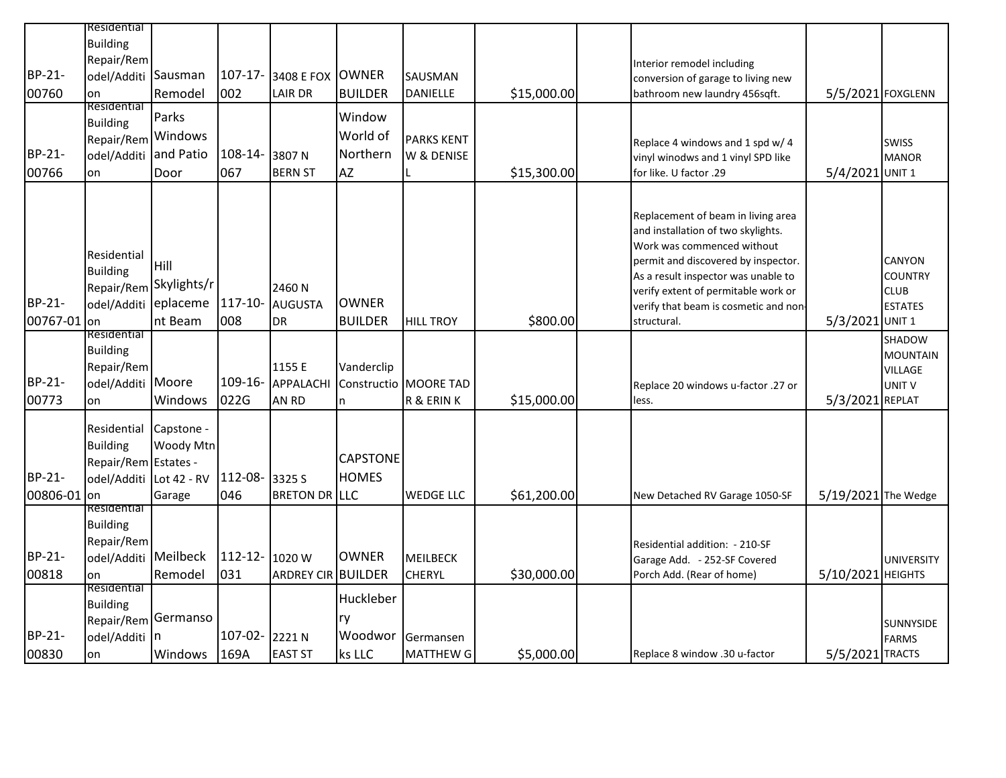|          | Residential<br><b>Building</b> |                        |                |                           |                 |                       |             |                                                                              |                     |                                  |
|----------|--------------------------------|------------------------|----------------|---------------------------|-----------------|-----------------------|-------------|------------------------------------------------------------------------------|---------------------|----------------------------------|
|          | Repair/Rem                     |                        |                |                           |                 |                       |             |                                                                              |                     |                                  |
| BP-21-   | odel/Additi                    | Sausman                |                | 107-17- 3408 E FOX OWNER  |                 | SAUSMAN               |             | Interior remodel including<br>conversion of garage to living new             |                     |                                  |
| 00760    | on                             | Remodel                | 002            | <b>LAIR DR</b>            | <b>BUILDER</b>  | <b>DANIELLE</b>       | \$15,000.00 | bathroom new laundry 456sqft.                                                | 5/5/2021 FOXGLENN   |                                  |
|          | Residential                    |                        |                |                           |                 |                       |             |                                                                              |                     |                                  |
|          | <b>Building</b>                | Parks                  |                |                           | Window          |                       |             |                                                                              |                     |                                  |
|          | Repair/Rem Windows             |                        |                |                           | World of        | <b>PARKS KENT</b>     |             | Replace 4 windows and 1 spd w/ 4                                             |                     | <b>SWISS</b>                     |
| BP-21-   | odel/Additi and Patio          |                        | 108-14- 3807 N |                           | Northern        | W & DENISE            |             | vinyl winodws and 1 vinyl SPD like                                           |                     | <b>MANOR</b>                     |
| 00766    | on                             | Door                   | 067            | <b>BERN ST</b>            | AZ              |                       | \$15,300.00 | for like. U factor .29                                                       | 5/4/2021 UNIT 1     |                                  |
|          |                                |                        |                |                           |                 |                       |             |                                                                              |                     |                                  |
|          |                                |                        |                |                           |                 |                       |             | Replacement of beam in living area                                           |                     |                                  |
|          |                                |                        |                |                           |                 |                       |             | and installation of two skylights.                                           |                     |                                  |
|          | Residential                    |                        |                |                           |                 |                       |             | Work was commenced without                                                   |                     |                                  |
|          | <b>Building</b>                | Hill                   |                |                           |                 |                       |             | permit and discovered by inspector.                                          |                     | CANYON                           |
|          |                                | Repair/Rem Skylights/r |                | 2460N                     |                 |                       |             | As a result inspector was unable to                                          |                     | <b>COUNTRY</b>                   |
| BP-21-   | odel/Additi eplaceme           |                        |                | 117-10- AUGUSTA           | <b>OWNER</b>    |                       |             | verify extent of permitable work or<br>verify that beam is cosmetic and non- |                     | <b>CLUB</b><br><b>ESTATES</b>    |
| 00767-01 | <b>l</b> on                    | nt Beam                | 008            | <b>DR</b>                 | <b>BUILDER</b>  | <b>HILL TROY</b>      | \$800.00    | structural.                                                                  | 5/3/2021            | UNIT <sub>1</sub>                |
|          | Residential                    |                        |                |                           |                 |                       |             |                                                                              |                     | SHADOW                           |
|          | <b>Building</b>                |                        |                |                           |                 |                       |             |                                                                              |                     | <b>MOUNTAIN</b>                  |
|          | Repair/Rem                     |                        |                | 1155 E                    | Vanderclip      |                       |             |                                                                              |                     | <b>VILLAGE</b>                   |
| BP-21-   | odel/Additi                    | Moore                  |                | 109-16- APPALACHI         |                 | Constructio MOORE TAD |             | Replace 20 windows u-factor .27 or                                           |                     | <b>UNIT V</b>                    |
| 00773    | on                             | Windows                | 022G           | AN RD                     | n.              | R & ERINK             | \$15,000.00 | less.                                                                        | 5/3/2021 REPLAT     |                                  |
|          | Residential                    | Capstone -             |                |                           |                 |                       |             |                                                                              |                     |                                  |
|          | <b>Building</b>                | Woody Mtn              |                |                           |                 |                       |             |                                                                              |                     |                                  |
|          | Repair/Rem Estates -           |                        |                |                           | <b>CAPSTONE</b> |                       |             |                                                                              |                     |                                  |
| BP-21-   | odel/Additi                    | Lot 42 - RV            | 112-08- 3325 S |                           | <b>HOMES</b>    |                       |             |                                                                              |                     |                                  |
| 00806-01 | on                             | Garage                 | 046            | <b>BRETON DR LLC</b>      |                 | <b>WEDGE LLC</b>      | \$61,200.00 | New Detached RV Garage 1050-SF                                               | 5/19/2021 The Wedge |                                  |
|          | Residential                    |                        |                |                           |                 |                       |             |                                                                              |                     |                                  |
|          | <b>Building</b>                |                        |                |                           |                 |                       |             |                                                                              |                     |                                  |
|          | Repair/Rem                     |                        |                |                           |                 |                       |             | Residential addition: - 210-SF                                               |                     |                                  |
| BP-21-   | odel/Additi Meilbeck           |                        | 112-12-1020W   |                           | <b>OWNER</b>    | <b>MEILBECK</b>       |             | Garage Add. - 252-SF Covered                                                 |                     | <b>UNIVERSITY</b>                |
| 00818    | on                             | Remodel                | 031            | <b>ARDREY CIR BUILDER</b> |                 | <b>CHERYL</b>         | \$30,000.00 | Porch Add. (Rear of home)                                                    | 5/10/2021 HEIGHTS   |                                  |
|          | Residential<br><b>Building</b> |                        |                |                           | Huckleber       |                       |             |                                                                              |                     |                                  |
|          | Repair/Rem Germanso            |                        |                |                           | ry              |                       |             |                                                                              |                     |                                  |
| BP-21-   | odel/Additi n                  |                        | 107-02- 2221 N |                           | Woodwor         | Germansen             |             |                                                                              |                     | <b>SUNNYSIDE</b><br><b>FARMS</b> |
| 00830    | on                             | Windows                | 169A           | <b>EAST ST</b>            | ks LLC          | <b>MATTHEW G</b>      | \$5,000.00  | Replace 8 window .30 u-factor                                                | 5/5/2021 TRACTS     |                                  |
|          |                                |                        |                |                           |                 |                       |             |                                                                              |                     |                                  |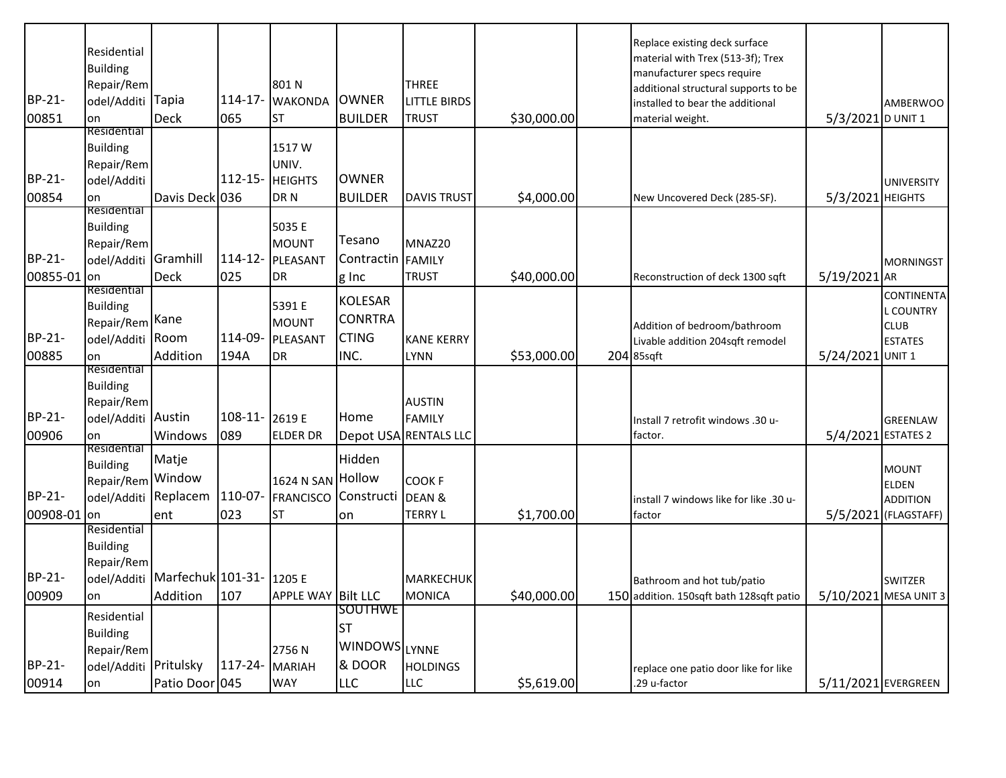| BP-21-<br>00851       | Residential<br><b>Building</b><br>Repair/Rem<br>odel/Additi Tapia<br>on      | <b>Deck</b>                                      | $114 - 17$<br>065     | 801N<br><b>WAKONDA</b><br><b>ST</b>                                       | <b>OWNER</b><br><b>BUILDER</b>                                       | <b>THREE</b><br><b>LITTLE BIRDS</b><br><b>TRUST</b>     | \$30,000.00 | Replace existing deck surface<br>material with Trex (513-3f); Trex<br>manufacturer specs require<br>additional structural supports to be<br>installed to bear the additional<br>material weight. | 5/3/2021 D UNIT 1     | <b>AMBERWOO</b>                                                         |
|-----------------------|------------------------------------------------------------------------------|--------------------------------------------------|-----------------------|---------------------------------------------------------------------------|----------------------------------------------------------------------|---------------------------------------------------------|-------------|--------------------------------------------------------------------------------------------------------------------------------------------------------------------------------------------------|-----------------------|-------------------------------------------------------------------------|
| BP-21-<br>00854       | Residential<br><b>Building</b><br>Repair/Rem<br>odel/Additi<br>on            | Davis Deck 036                                   | $112 - 15 -$          | 1517W<br>UNIV.<br><b>HEIGHTS</b><br>DRN                                   | <b>OWNER</b><br><b>BUILDER</b>                                       | <b>DAVIS TRUST</b>                                      | \$4,000.00] | New Uncovered Deck (285-SF).                                                                                                                                                                     | 5/3/2021 HEIGHTS      | <b>UNIVERSITY</b>                                                       |
| BP-21-<br>00855-01 on | Residential<br><b>Building</b><br>Repair/Rem<br>odel/Additi Gramhill         | <b>Deck</b>                                      | $114 - 12$<br>025     | 5035 E<br><b>MOUNT</b><br>PLEASANT<br><b>DR</b>                           | Tesano<br>Contractin   FAMILY<br>g Inc                               | MNAZ20<br><b>TRUST</b>                                  | \$40,000.00 | Reconstruction of deck 1300 sqft                                                                                                                                                                 | $5/19/2021$ AR        | <b>MORNINGST</b>                                                        |
| BP-21-<br>00885       | Residential<br><b>Building</b><br>Repair/Rem Kane<br>odel/Additi Room<br>on  | Addition                                         | 114-09-<br>194A       | 5391 E<br><b>MOUNT</b><br>PLEASANT<br>DR                                  | <b>KOLESAR</b><br><b>CONRTRA</b><br><b>CTING</b><br>INC.             | <b>KANE KERRY</b><br><b>LYNN</b>                        | \$53,000.00 | Addition of bedroom/bathroom<br>Livable addition 204sqft remodel<br>204 85sqft                                                                                                                   | 5/24/2021 UNIT 1      | <b>CONTINENTA</b><br><b>L COUNTRY</b><br><b>CLUB</b><br><b>ESTATES</b>  |
| BP-21-<br>00906       | Residential<br><b>Building</b><br>Repair/Rem<br>odel/Additi Austin<br>on     | Windows                                          | 108-11- 2619 E<br>089 | <b>ELDER DR</b>                                                           | Home                                                                 | <b>AUSTIN</b><br><b>FAMILY</b><br>Depot USA RENTALS LLC |             | Install 7 retrofit windows .30 u-<br>factor.                                                                                                                                                     | 5/4/2021 ESTATES 2    | <b>GREENLAW</b>                                                         |
| BP-21-<br>00908-01 on | Residential<br><b>Building</b><br>Repair/Rem Window<br>odel/Additi Replacem  | Matje<br>lent                                    | 110-07-<br>023        | 1624 N SAN Hollow<br><b>FRANCISCO CONSTRUCTI DEAN &amp;</b><br><b>S</b> T | Hidden<br>on                                                         | COOK F<br><b>TERRY L</b>                                | \$1,700.00  | install 7 windows like for like .30 u-<br>factor                                                                                                                                                 |                       | <b>MOUNT</b><br><b>ELDEN</b><br><b>ADDITION</b><br>5/5/2021 (FLAGSTAFF) |
| BP-21-<br>00909       | Residential<br><b>Building</b><br>Repair/Rem<br>on                           | odel/Additi Marfechuk 101-31- 1205 E<br>Addition | 107                   | APPLE WAY Bilt LLC                                                        |                                                                      | <b>MARKECHUK</b><br>MONICA                              | \$40,000.00 | Bathroom and hot tub/patio<br>150 addition. 150sqft bath 128sqft patio                                                                                                                           | 5/10/2021 MESA UNIT 3 | <b>SWITZER</b>                                                          |
| BP-21-<br>00914       | Residential<br><b>Building</b><br>Repair/Rem<br>odel/Additi Pritulsky<br>lon | Patio Door 045                                   | 117-24-               | 2756N<br>MARIAH<br><b>WAY</b>                                             | <b>SOUTHWE</b><br><b>ST</b><br><b>WINDOWS LYNNE</b><br>& DOOR<br>LLC | <b>HOLDINGS</b><br><b>LLC</b>                           | \$5,619.00  | replace one patio door like for like<br>.29 u-factor                                                                                                                                             |                       | 5/11/2021 EVERGREEN                                                     |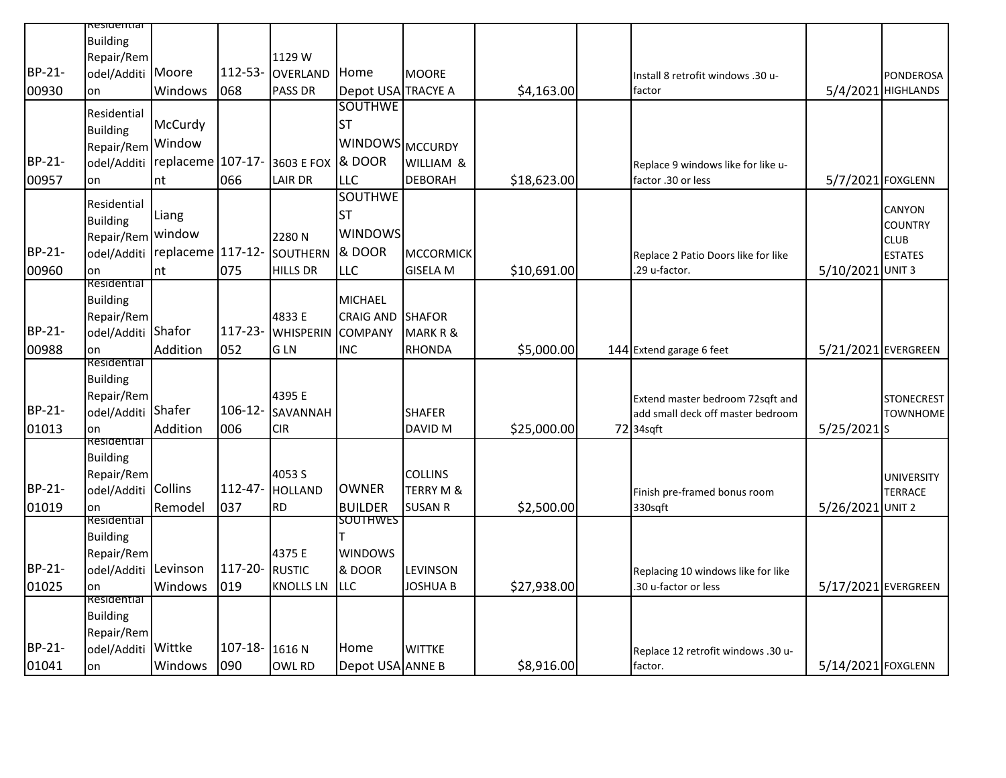|        | <del>Residentiar</del>                 |                               |                |                              |                  |                  |             |                                                      |                     |                      |
|--------|----------------------------------------|-------------------------------|----------------|------------------------------|------------------|------------------|-------------|------------------------------------------------------|---------------------|----------------------|
|        | Building                               |                               |                |                              |                  |                  |             |                                                      |                     |                      |
|        | Repair/Rem                             |                               |                | 1129 W                       |                  |                  |             |                                                      |                     |                      |
| BP-21- | odel/Additi Moore                      |                               |                | 112-53- OVERLAND             | Home             | <b>MOORE</b>     |             | Install 8 retrofit windows .30 u-                    |                     | <b>PONDEROSA</b>     |
| 00930  | on                                     | Windows                       | 068            | <b>PASS DR</b>               | Depot USA        | <b>TRACYE A</b>  | \$4,163.00  | factor                                               |                     | $5/4/2021$ HIGHLANDS |
|        | Residential                            |                               |                |                              | <b>SOUTHWE</b>   |                  |             |                                                      |                     |                      |
|        | <b>Building</b>                        | McCurdy                       |                |                              | <b>ST</b>        |                  |             |                                                      |                     |                      |
|        | Repair/Rem                             | Window                        |                |                              | WINDOWS MCCURDY  |                  |             |                                                      |                     |                      |
| BP-21- | odel/Additi                            |                               |                | replaceme 107-17- 3603 E FOX | & DOOR           | WILLIAM &        |             | Replace 9 windows like for like u-                   |                     |                      |
| 00957  | on                                     | nt                            | 066            | <b>LAIR DR</b>               | LLC              | <b>DEBORAH</b>   | \$18,623.00 | factor .30 or less                                   |                     | 5/7/2021 FOXGLENN    |
|        |                                        |                               |                |                              | <b>SOUTHWE</b>   |                  |             |                                                      |                     |                      |
|        | Residential                            | Liang                         |                |                              | <b>ST</b>        |                  |             |                                                      |                     | CANYON               |
|        | <b>Building</b><br>Repair/Rem   window |                               |                | 2280N                        | <b>WINDOWS</b>   |                  |             |                                                      |                     | <b>COUNTRY</b>       |
| BP-21- |                                        | odel/Additi replaceme 117-12- |                | SOUTHERN                     | & DOOR           | <b>MCCORMICK</b> |             |                                                      |                     | <b>CLUB</b>          |
| 00960  | lon                                    | nt                            | 075            | <b>HILLS DR</b>              | <b>LLC</b>       | <b>GISELA M</b>  | \$10,691.00 | Replace 2 Patio Doors like for like<br>.29 u-factor. | 5/10/2021 UNIT 3    | <b>ESTATES</b>       |
|        | Residential                            |                               |                |                              |                  |                  |             |                                                      |                     |                      |
|        | <b>Building</b>                        |                               |                |                              | <b>MICHAEL</b>   |                  |             |                                                      |                     |                      |
|        | Repair/Rem                             |                               |                | 4833 E                       | <b>CRAIG AND</b> | <b>SHAFOR</b>    |             |                                                      |                     |                      |
| BP-21- | odel/Additi Shafor                     |                               | $117 - 23 -$   | <b>WHISPERIN</b>             | <b>COMPANY</b>   | MARK R &         |             |                                                      |                     |                      |
| 00988  | lon                                    | Addition                      | 052            | G LN                         | <b>INC</b>       | <b>RHONDA</b>    | \$5,000.00  | 144 Extend garage 6 feet                             | 5/21/2021 EVERGREEN |                      |
|        | Residential                            |                               |                |                              |                  |                  |             |                                                      |                     |                      |
|        | <b>Building</b>                        |                               |                |                              |                  |                  |             |                                                      |                     |                      |
|        | Repair/Rem                             |                               |                | 4395 E                       |                  |                  |             | Extend master bedroom 72sqft and                     |                     | <b>STONECREST</b>    |
| BP-21- | odel/Additi Shafer                     |                               |                | 106-12- SAVANNAH             |                  | <b>SHAFER</b>    |             | add small deck off master bedroom                    |                     | <b>TOWNHOME</b>      |
| 01013  | lon<br>Residential                     | Addition                      | 006            | <b>CIR</b>                   |                  | <b>DAVID M</b>   | \$25,000.00 | 72 34sqft                                            | $5/25/2021$ s       |                      |
|        | <b>Building</b>                        |                               |                |                              |                  |                  |             |                                                      |                     |                      |
|        | Repair/Rem                             |                               |                | 4053 S                       |                  | <b>COLLINS</b>   |             |                                                      |                     | <b>UNIVERSITY</b>    |
| BP-21- | odel/Additi                            | <b>Collins</b>                | $112 - 47$     | HOLLAND                      | <b>OWNER</b>     | TERRY M &        |             | Finish pre-framed bonus room                         |                     | <b>TERRACE</b>       |
| 01019  | on                                     | Remodel                       | 037            | <b>RD</b>                    | <b>BUILDER</b>   | <b>SUSAN R</b>   | \$2,500.00  | 330sqft                                              | 5/26/2021 UNIT 2    |                      |
|        | Residential                            |                               |                |                              | SOUTHWES         |                  |             |                                                      |                     |                      |
|        | <b>Building</b>                        |                               |                |                              |                  |                  |             |                                                      |                     |                      |
|        | Repair/Rem                             |                               |                | 4375 E                       | <b>WINDOWS</b>   |                  |             |                                                      |                     |                      |
| BP-21- | odel/Additi Levinson                   |                               | 117-20- RUSTIC |                              | & DOOR           | <b>LEVINSON</b>  |             | Replacing 10 windows like for like                   |                     |                      |
| 01025  | on                                     | Windows                       | 019            | <b>KNOLLS LN</b>             | LLC              | <b>JOSHUA B</b>  | \$27,938.00 | 30 u-factor or less                                  | 5/17/2021 EVERGREEN |                      |
|        | Residential                            |                               |                |                              |                  |                  |             |                                                      |                     |                      |
|        | <b>Building</b><br>Repair/Rem          |                               |                |                              |                  |                  |             |                                                      |                     |                      |
| BP-21- | odel/Additi Wittke                     |                               | 107-18- 1616 N |                              | Home             | <b>WITTKE</b>    |             | Replace 12 retrofit windows .30 u-                   |                     |                      |
| 01041  | lon                                    | Windows                       | 090            | <b>OWL RD</b>                | Depot USA ANNE B |                  | \$8,916.00  | factor.                                              | 5/14/2021 FOXGLENN  |                      |
|        |                                        |                               |                |                              |                  |                  |             |                                                      |                     |                      |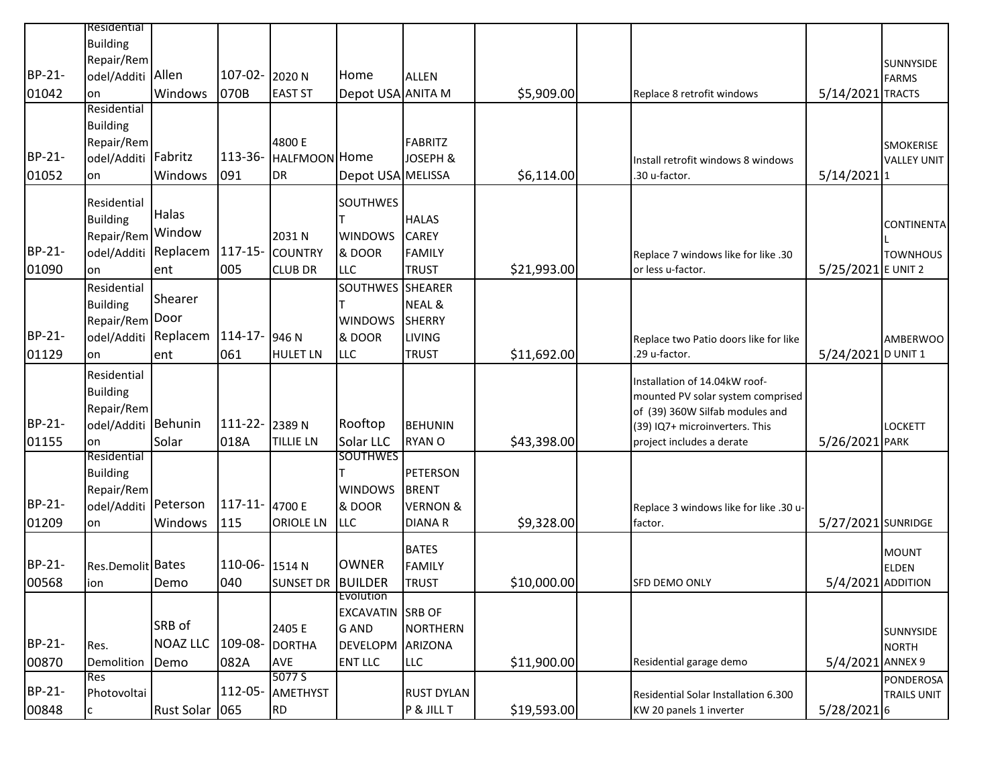|        | Residential         |                   |                |                       |                         |                     |             |                                        |                          |                    |
|--------|---------------------|-------------------|----------------|-----------------------|-------------------------|---------------------|-------------|----------------------------------------|--------------------------|--------------------|
|        | <b>Building</b>     |                   |                |                       |                         |                     |             |                                        |                          |                    |
|        | Repair/Rem          |                   |                |                       |                         |                     |             |                                        |                          | SUNNYSIDE          |
| BP-21- | odel/Additi Allen   |                   | 107-02-        | 2020N                 | Home                    | <b>ALLEN</b>        |             |                                        |                          | <b>FARMS</b>       |
| 01042  | on                  | <b>Windows</b>    | 070B           | <b>EAST ST</b>        | Depot USA ANITA M       |                     | \$5,909.00  | Replace 8 retrofit windows             | 5/14/2021 TRACTS         |                    |
|        | Residential         |                   |                |                       |                         |                     |             |                                        |                          |                    |
|        |                     |                   |                |                       |                         |                     |             |                                        |                          |                    |
|        | <b>Building</b>     |                   |                |                       |                         |                     |             |                                        |                          |                    |
|        | Repair/Rem          |                   |                | 4800 E                |                         | <b>FABRITZ</b>      |             |                                        |                          | <b>SMOKERISE</b>   |
| BP-21- | odel/Additi Fabritz |                   |                | 113-36- HALFMOON Home |                         | JOSEPH &            |             | Install retrofit windows 8 windows     |                          | <b>VALLEY UNIT</b> |
| 01052  | on                  | Windows           | 091            | DR)                   | Depot USA MELISSA       |                     | \$6,114.00  | .30 u-factor.                          | $5/14/2021$ <sup>1</sup> |                    |
|        |                     |                   |                |                       |                         |                     |             |                                        |                          |                    |
|        | Residential         | Halas             |                |                       | <b>SOUTHWES</b>         |                     |             |                                        |                          |                    |
|        | <b>Building</b>     |                   |                |                       |                         | <b>HALAS</b>        |             |                                        |                          | <b>CONTINENTA</b>  |
|        | Repair/Rem Window   |                   |                | 2031 N                | <b>WINDOWS</b>          | <b>CAREY</b>        |             |                                        |                          |                    |
| BP-21- | odel/Additi         | Replacem          |                | 117-15- COUNTRY       | & DOOR                  | <b>FAMILY</b>       |             | Replace 7 windows like for like .30    |                          | <b>TOWNHOUS</b>    |
| 01090  | on                  | lent              | 005            | <b>CLUB DR</b>        | <b>LLC</b>              | <b>TRUST</b>        | \$21,993.00 | or less u-factor.                      | 5/25/2021 E UNIT 2       |                    |
|        | Residential         |                   |                |                       | SOUTHWES SHEARER        |                     |             |                                        |                          |                    |
|        | <b>Building</b>     | Shearer           |                |                       |                         | <b>NEAL &amp;</b>   |             |                                        |                          |                    |
|        | Repair/Rem Door     |                   |                |                       | <b>WINDOWS</b>          | SHERRY              |             |                                        |                          |                    |
| BP-21- | odel/Additi         | Replacem          | 114-17-        | 946 N                 | & DOOR                  | <b>LIVING</b>       |             | Replace two Patio doors like for like  |                          | AMBERWOO           |
| 01129  | on                  | ent               | 061            | <b>HULET LN</b>       | <b>LLC</b>              | <b>TRUST</b>        | \$11,692.00 | .29 u-factor.                          | 5/24/2021 D UNIT 1       |                    |
|        |                     |                   |                |                       |                         |                     |             |                                        |                          |                    |
|        | Residential         |                   |                |                       |                         |                     |             | Installation of 14.04kW roof-          |                          |                    |
|        | <b>Building</b>     |                   |                |                       |                         |                     |             | mounted PV solar system comprised      |                          |                    |
|        | Repair/Rem          |                   |                |                       |                         |                     |             | of (39) 360W Silfab modules and        |                          |                    |
| BP-21- | odel/Additi Behunin |                   | 111-22- 2389 N |                       | Rooftop                 | <b>BEHUNIN</b>      |             | (39) IQ7+ microinverters. This         |                          | <b>LOCKETT</b>     |
| 01155  | on                  | Solar             | 018A           | <b>TILLIE LN</b>      | Solar LLC               | <b>RYAN O</b>       | \$43,398.00 | project includes a derate              | 5/26/2021 PARK           |                    |
|        | Residential         |                   |                |                       | <b>SOUTHWES</b>         |                     |             |                                        |                          |                    |
|        | <b>Building</b>     |                   |                |                       |                         | <b>PETERSON</b>     |             |                                        |                          |                    |
|        | Repair/Rem          |                   |                |                       | <b>WINDOWS</b>          | <b>BRENT</b>        |             |                                        |                          |                    |
| BP-21- | odel/Additi         | Peterson          | 117-11- 4700 E |                       | & DOOR                  | <b>VERNON &amp;</b> |             | Replace 3 windows like for like .30 u- |                          |                    |
| 01209  | on                  | Windows           | 115            | <b>ORIOLE LN</b>      | LLC                     | <b>DIANAR</b>       | \$9,328.00  | factor.                                | 5/27/2021 SUNRIDGE       |                    |
|        |                     |                   |                |                       |                         |                     |             |                                        |                          |                    |
|        |                     |                   |                |                       |                         | <b>BATES</b>        |             |                                        |                          | <b>MOUNT</b>       |
| BP-21- | Res.Demolit Bates   |                   | 110-06- 1514 N |                       | <b>OWNER</b>            | <b>FAMILY</b>       |             |                                        |                          | <b>ELDEN</b>       |
| 00568  | ion                 | Demo              | 040            | <b>SUNSET DR</b>      | <b>BUILDER</b>          | <b>TRUST</b>        | \$10,000.00 | <b>SFD DEMO ONLY</b>                   | 5/4/2021 ADDITION        |                    |
|        |                     |                   |                |                       | Evolution               |                     |             |                                        |                          |                    |
|        |                     |                   |                |                       | <b>EXCAVATIN SRB OF</b> |                     |             |                                        |                          |                    |
|        |                     | SRB of            |                | 2405 E                | <b>GAND</b>             | <b>NORTHERN</b>     |             |                                        |                          | SUNNYSIDE          |
| BP-21- | Res.                | <b>NOAZ LLC</b>   | 109-08- DORTHA |                       | DEVELOPM ARIZONA        |                     |             |                                        |                          | <b>NORTH</b>       |
| 00870  | Demolition          | Demo              | 082A           | AVE                   | <b>ENT LLC</b>          | <b>LLC</b>          | \$11,900.00 | Residential garage demo                | 5/4/2021 ANNEX 9         |                    |
|        | Res                 |                   |                | 5077 S                |                         |                     |             |                                        |                          | PONDEROSA          |
| BP-21- | Photovoltai         |                   |                | 112-05- AMETHYST      |                         | <b>RUST DYLAN</b>   |             | Residential Solar Installation 6.300   |                          | <b>TRAILS UNIT</b> |
| 00848  | C                   | <b>Rust Solar</b> | 065            | RD                    |                         | P & JILL T          | \$19,593.00 | KW 20 panels 1 inverter                | 5/28/20216               |                    |
|        |                     |                   |                |                       |                         |                     |             |                                        |                          |                    |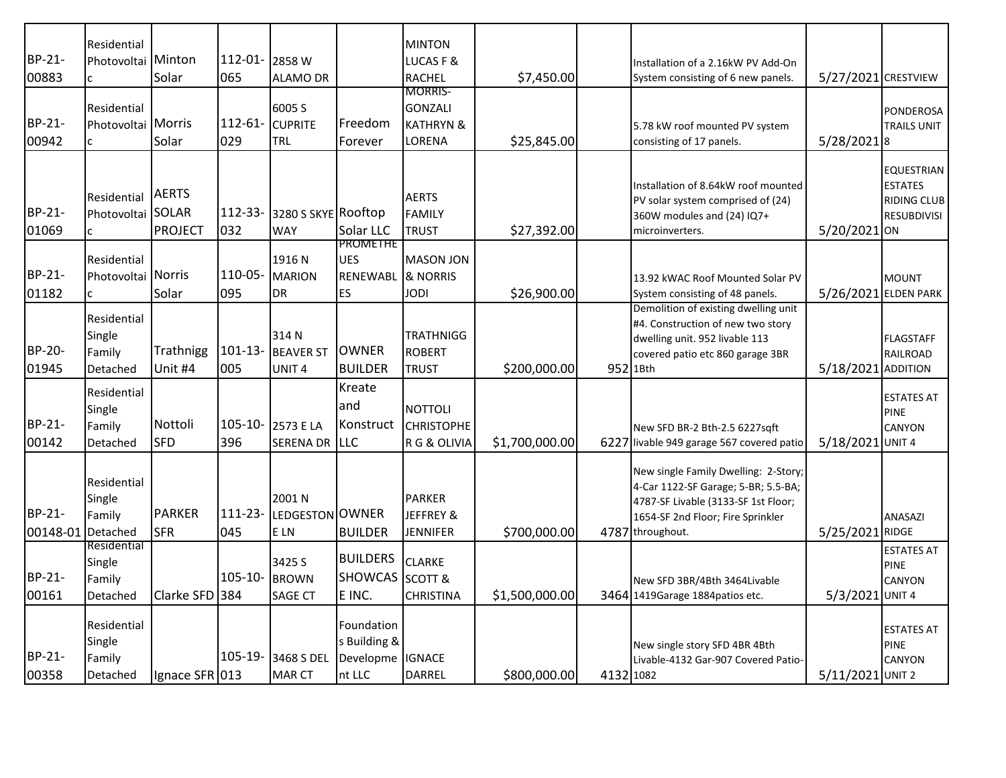| BP-21-<br>00883    | Residential<br>Photovoltai                  | Minton<br>Solar                  | 112-01- 2858 W<br>065  | <b>ALAMO DR</b>                                |                                                           | <b>MINTON</b><br>LUCAS F &<br><b>RACHEL</b>                        | \$7,450.00     |           | Installation of a 2.16kW PV Add-On<br>System consisting of 6 new panels.                                                                                                    | 5/27/2021 CRESTVIEW  |                                                                                 |
|--------------------|---------------------------------------------|----------------------------------|------------------------|------------------------------------------------|-----------------------------------------------------------|--------------------------------------------------------------------|----------------|-----------|-----------------------------------------------------------------------------------------------------------------------------------------------------------------------------|----------------------|---------------------------------------------------------------------------------|
| BP-21-<br>00942    | Residential<br>Photovoltai<br>c             | Morris<br>Solar                  | 112-61- CUPRITE<br>029 | 6005 S<br>TRL                                  | Freedom<br>Forever                                        | <b>MORRIS-</b><br><b>GONZALI</b><br><b>KATHRYN &amp;</b><br>LORENA | \$25,845.00    |           | 5.78 kW roof mounted PV system<br>consisting of 17 panels.                                                                                                                  | 5/28/20218           | <b>PONDEROSA</b><br>TRAILS UNIT                                                 |
| BP-21-<br>01069    | Residential<br>Photovoltai<br>C.            | <b>AERTS</b><br>SOLAR<br>PROJECT | 112-33-<br>032         | 3280 S SKYE Rooftop<br><b>WAY</b>              | Solar LLC                                                 | <b>AERTS</b><br><b>FAMILY</b><br><b>TRUST</b>                      | \$27,392.00    |           | Installation of 8.64kW roof mounted<br>PV solar system comprised of (24)<br>360W modules and (24) IQ7+<br>microinverters.                                                   | 5/20/2021 ON         | <b>EQUESTRIAN</b><br><b>ESTATES</b><br><b>RIDING CLUB</b><br><b>RESUBDIVISI</b> |
| BP-21-<br>01182    | Residential<br>Photovoltai<br>$\mathsf{C}$  | <b>Norris</b><br>Solar           | 110-05-<br>095         | 1916N<br>MARION<br>DR                          | PROMETHE<br><b>UES</b><br><b>RENEWABL</b><br><b>ES</b>    | <b>MASON JON</b><br>& NORRIS<br><b>JODI</b>                        | \$26,900.00    |           | 13.92 kWAC Roof Mounted Solar PV<br>System consisting of 48 panels.                                                                                                         | 5/26/2021 ELDEN PARK | <b>MOUNT</b>                                                                    |
| BP-20-<br>01945    | Residential<br>Single<br>Family<br>Detached | Trathnigg<br>Unit #4             | 005                    | 314N<br>101-13- BEAVER ST<br>UNIT <sub>4</sub> | <b>OWNER</b><br><b>BUILDER</b>                            | <b>TRATHNIGG</b><br><b>ROBERT</b><br><b>TRUST</b>                  | \$200,000.00   |           | Demolition of existing dwelling unit<br>#4. Construction of new two story<br>dwelling unit. 952 livable 113<br>covered patio etc 860 garage 3BR<br>952 1Bth                 | 5/18/2021            | <b>FLAGSTAFF</b><br>RAILROAD<br><b>ADDITION</b>                                 |
| BP-21-<br>00142    | Residential<br>Single<br>Family<br>Detached | Nottoli<br><b>SFD</b>            | $105 - 10 -$<br>396    | 2573 E LA<br><b>SERENA DR</b>                  | Kreate<br>and<br>Konstruct<br><b>LLC</b>                  | <b>NOTTOLI</b><br><b>CHRISTOPHE</b><br>R G & OLIVIA                | \$1,700,000.00 |           | New SFD BR-2 Bth-2.5 6227sqft<br>6227 livable 949 garage 567 covered patio                                                                                                  | 5/18/2021 UNIT 4     | <b>ESTATES AT</b><br><b>PINE</b><br>CANYON                                      |
| BP-21-<br>00148-01 | Residential<br>Single<br>Family<br>Detached | PARKER<br><b>SFR</b>             | 111-23-<br>045         | 2001 N<br>LEDGESTON<br>E LN                    | <b>OWNER</b><br><b>BUILDER</b>                            | <b>PARKER</b><br>JEFFREY &<br><b>JENNIFER</b>                      | \$700,000.00   |           | New single Family Dwelling: 2-Story;<br>4-Car 1122-SF Garage; 5-BR; 5.5-BA;<br>4787-SF Livable (3133-SF 1st Floor;<br>1654-SF 2nd Floor; Fire Sprinkler<br>4787 throughout. | 5/25/2021 RIDGE      | <b>ANASAZI</b>                                                                  |
| BP-21-<br>00161    | Residential<br>Single<br>Family<br>Detached | Clarke SFD 384                   | 105-10- BROWN          | 3425 S<br><b>SAGE CT</b>                       | <b>BUILDERS</b><br><b>SHOWCAS</b><br>E INC.               | <b>CLARKE</b><br>SCOTT &<br><b>CHRISTINA</b>                       | \$1,500,000.00 |           | New SFD 3BR/4Bth 3464Livable<br>3464 1419 Garage 1884 patios etc.                                                                                                           | 5/3/2021 UNIT 4      | <b>ESTATES AT</b><br><b>PINE</b><br>CANYON                                      |
| BP-21-<br>00358    | Residential<br>Single<br>Family<br>Detached | Ignace SFR 013                   |                        | 105-19- 3468 S DEL<br>MAR CT                   | Foundation<br>s Building &<br>Developme  IGNACE<br>nt LLC | <b>DARREL</b>                                                      | \$800,000.00   | 4132 1082 | New single story SFD 4BR 4Bth<br>Livable-4132 Gar-907 Covered Patio-                                                                                                        | 5/11/2021 UNIT 2     | <b>ESTATES AT</b><br><b>PINE</b><br>CANYON                                      |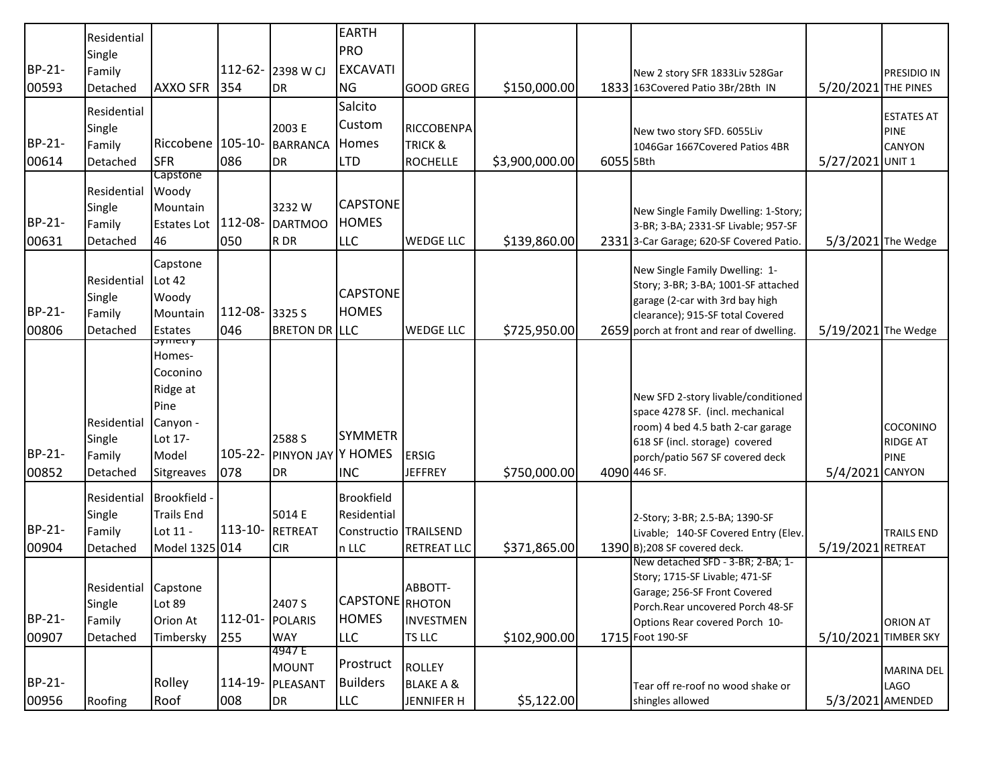|                 | Residential<br>Single                                |                                                                                                           |                        |                                                  | <b>EARTH</b><br><b>PRO</b>                                         |                                                            |                |           |                                                                                                                                                                                                   |                      |                                            |
|-----------------|------------------------------------------------------|-----------------------------------------------------------------------------------------------------------|------------------------|--------------------------------------------------|--------------------------------------------------------------------|------------------------------------------------------------|----------------|-----------|---------------------------------------------------------------------------------------------------------------------------------------------------------------------------------------------------|----------------------|--------------------------------------------|
| BP-21-          | Family                                               |                                                                                                           |                        | 112-62- 2398 W CJ                                | <b>EXCAVATI</b>                                                    |                                                            |                |           | New 2 story SFR 1833Liv 528Gar                                                                                                                                                                    |                      | PRESIDIO IN                                |
| 00593           | Detached                                             | <b>AXXO SFR</b>                                                                                           | 354                    | <b>DR</b>                                        | <b>NG</b>                                                          | <b>GOOD GREG</b>                                           | \$150,000.00   |           | 1833 163 Covered Patio 3Br/2Bth IN                                                                                                                                                                | 5/20/2021 THE PINES  |                                            |
| BP-21-<br>00614 | Residential<br>Single<br>Family<br>Detached          | Riccobene 105-10-<br><b>SFR</b>                                                                           | 086                    | 2003 E<br><b>BARRANCA</b><br>DR)                 | Salcito<br>Custom<br>Homes<br><b>LTD</b>                           | <b>RICCOBENPA</b><br>TRICK &<br><b>ROCHELLE</b>            | \$3,900,000.00 | 6055 5Bth | New two story SFD. 6055Liv<br>1046Gar 1667Covered Patios 4BR                                                                                                                                      | 5/27/2021 UNIT 1     | <b>ESTATES AT</b><br><b>PINE</b><br>CANYON |
| BP-21-<br>00631 | Residential<br>Single<br>Family<br>Detached          | Capstone<br>Woody<br>Mountain<br><b>Estates Lot</b><br>46                                                 | 112-08-<br>050         | 3232W<br><b>DARTMOO</b><br>R DR                  | <b>CAPSTONE</b><br><b>HOMES</b><br><b>LLC</b>                      | <b>WEDGE LLC</b>                                           | \$139,860.00   |           | New Single Family Dwelling: 1-Story;<br>3-BR; 3-BA; 2331-SF Livable; 957-SF<br>2331 3-Car Garage; 620-SF Covered Patio.                                                                           |                      | $5/3/2021$ The Wedge                       |
| BP-21-<br>00806 | Residential<br>Single<br>Family<br>Detached          | Capstone<br>Lot 42<br>Woody<br>Mountain<br>Estates                                                        | 112-08- 3325 S<br>046  | <b>BRETON DR LLC</b>                             | <b>CAPSTONE</b><br><b>HOMES</b>                                    | <b>WEDGE LLC</b>                                           | \$725,950.00   |           | New Single Family Dwelling: 1-<br>Story; 3-BR; 3-BA; 1001-SF attached<br>garage (2-car with 3rd bay high<br>clearance); 915-SF total Covered<br>2659 porch at front and rear of dwelling.         | 5/19/2021 The Wedge  |                                            |
| BP-21-<br>00852 | Residential<br>Single<br>Family<br>Detached          | <del>ymcu y</del><br>Homes-<br>Coconino<br>Ridge at<br>Pine<br>Canyon -<br>Lot 17-<br>Model<br>Sitgreaves | $105 - 22 -$<br>078    | 2588 S<br><b>PINYON JAY</b><br>DR.               | <b>SYMMETR</b><br>Y HOMES<br><b>INC</b>                            | <b>ERSIG</b><br><b>JEFFREY</b>                             | \$750,000.00   |           | New SFD 2-story livable/conditioned<br>space 4278 SF. (incl. mechanical<br>room) 4 bed 4.5 bath 2-car garage<br>618 SF (incl. storage) covered<br>porch/patio 567 SF covered deck<br>4090 446 SF. | 5/4/2021 CANYON      | COCONINO<br><b>RIDGE AT</b><br><b>PINE</b> |
| BP-21-<br>00904 | Residential<br>Single<br>Family<br>Detached          | Brookfield -<br><b>Trails End</b><br>Lot 11 -<br>Model 1325 014                                           |                        | 5014 E<br>113-10- RETREAT<br><b>CIR</b>          | <b>Brookfield</b><br>Residential<br>Constructio TRAILSEND<br>n LLC | <b>RETREAT LLC</b>                                         | \$371,865.00   |           | 2-Story; 3-BR; 2.5-BA; 1390-SF<br>Livable; 140-SF Covered Entry (Elev.<br>1390 B);208 SF covered deck.                                                                                            | 5/19/2021 RETREAT    | <b>TRAILS END</b>                          |
| BP-21-<br>00907 | Residential Capstone<br>Single<br>Family<br>Detached | Lot 89<br>Orion At<br>Timbersky                                                                           | 112-01- POLARIS<br>255 | 2407 S<br><b>WAY</b>                             | CAPSTONE RHOTON<br><b>HOMES</b><br><b>LLC</b>                      | ABBOTT-<br><b>INVESTMEN</b><br>TS LLC                      | \$102,900.00   |           | New detached SFD - 3-BR; 2-BA; 1-<br>Story; 1715-SF Livable; 471-SF<br>Garage; 256-SF Front Covered<br>Porch.Rear uncovered Porch 48-SF<br>Options Rear covered Porch 10-<br>1715 Foot 190-SF     | 5/10/2021 TIMBER SKY | <b>ORION AT</b>                            |
| BP-21-<br>00956 | Roofing                                              | Rolley<br>Roof                                                                                            | 008                    | 4947 E<br><b>MOUNT</b><br>114-19- PLEASANT<br>DR | Prostruct<br><b>Builders</b><br><b>LLC</b>                         | <b>ROLLEY</b><br><b>BLAKE A &amp;</b><br><b>JENNIFER H</b> | \$5,122.00     |           | Tear off re-roof no wood shake or<br>shingles allowed                                                                                                                                             | 5/3/2021 AMENDED     | <b>MARINA DEL</b><br>LAGO                  |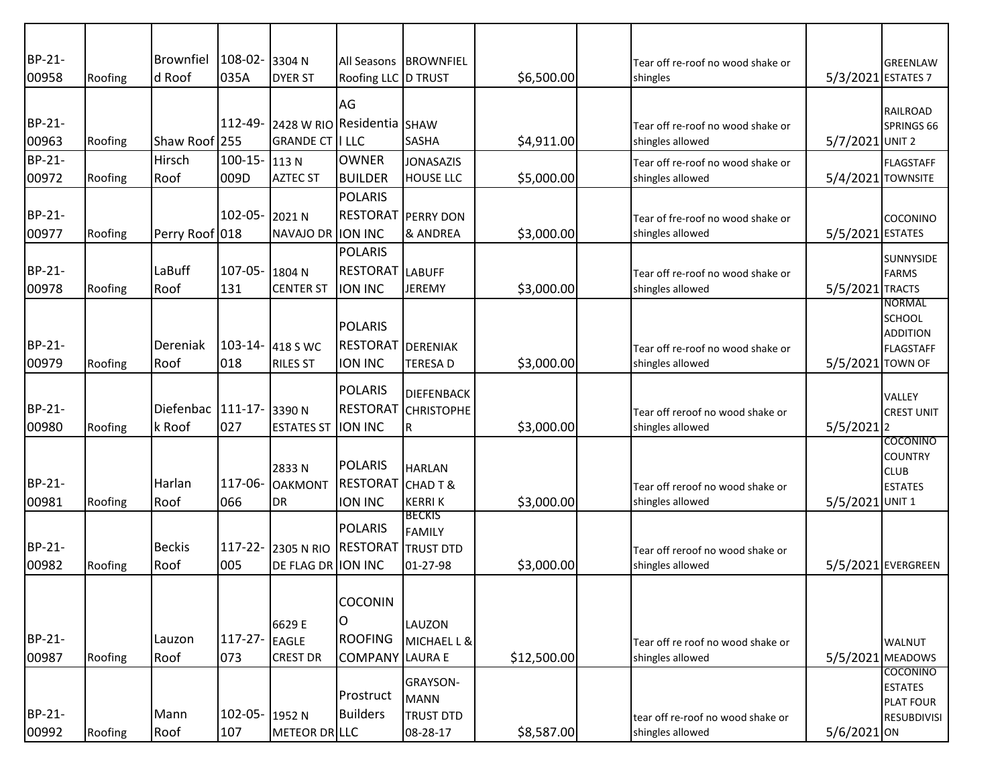| BP-21- |         | <b>Brownfiel</b>  | 108-02-        | 3304 N                                | <b>All Seasons</b>                       | <b>BROWNFIEL</b>                       |             | Tear off re-roof no wood shake or                     |                    | <b>GREENLAW</b>                     |
|--------|---------|-------------------|----------------|---------------------------------------|------------------------------------------|----------------------------------------|-------------|-------------------------------------------------------|--------------------|-------------------------------------|
| 00958  | Roofing | d Roof            | 035A           | <b>DYER ST</b>                        | Roofing LLC D TRUST                      |                                        | \$6,500.00  | shingles                                              | 5/3/2021 ESTATES 7 |                                     |
|        |         |                   |                |                                       | AG                                       |                                        |             |                                                       |                    |                                     |
| BP-21- |         |                   | 112-49-        | 2428 W RIO Residentia SHAW            |                                          |                                        |             | Tear off re-roof no wood shake or                     |                    | <b>RAILROAD</b><br>SPRINGS 66       |
| 00963  | Roofing | Shaw Roof 255     |                | <b>GRANDE CT I LLC</b>                |                                          | <b>SASHA</b>                           | \$4,911.00  | shingles allowed                                      | 5/7/2021 UNIT 2    |                                     |
| BP-21- |         | Hirsch            | 100-15-        | 113N                                  | <b>OWNER</b>                             | <b>JONASAZIS</b>                       |             | Tear off re-roof no wood shake or                     |                    | <b>FLAGSTAFF</b>                    |
| 00972  | Roofing | Roof              | 009D           | <b>AZTEC ST</b>                       | <b>BUILDER</b>                           | <b>HOUSE LLC</b>                       | \$5,000.00  | shingles allowed                                      | 5/4/2021 TOWNSITE  |                                     |
|        |         |                   |                |                                       | <b>POLARIS</b>                           |                                        |             |                                                       |                    |                                     |
| BP-21- |         |                   | 102-05-        | 2021N                                 | <b>RESTORAT PERRY DON</b>                |                                        |             | Tear of fre-roof no wood shake or                     |                    | <b>COCONINO</b>                     |
| 00977  | Roofing | Perry Roof 018    |                | NAVAJO DR ION INC                     |                                          | & ANDREA                               | \$3,000.00  | shingles allowed                                      | 5/5/2021 ESTATES   |                                     |
| BP-21- |         |                   | 107-05-        |                                       | <b>POLARIS</b>                           |                                        |             |                                                       |                    | <b>SUNNYSIDE</b>                    |
| 00978  | Roofing | LaBuff<br>Roof    | 131            | 1804 N<br><b>CENTER ST</b>            | <b>RESTORAT LABUFF</b><br><b>ION INC</b> | <b>JEREMY</b>                          | \$3,000.00  | Tear off re-roof no wood shake or<br>shingles allowed | 5/5/2021 TRACTS    | <b>FARMS</b>                        |
|        |         |                   |                |                                       |                                          |                                        |             |                                                       |                    | <b>NORMAL</b>                       |
|        |         |                   |                |                                       | <b>POLARIS</b>                           |                                        |             |                                                       |                    | <b>SCHOOL</b>                       |
| BP-21- |         | Dereniak          | $103 - 14$     | 418 S WC                              | <b>RESTORAT</b>                          | <b>DERENIAK</b>                        |             | Tear off re-roof no wood shake or                     |                    | <b>ADDITION</b><br><b>FLAGSTAFF</b> |
| 00979  | Roofing | Roof              | 018            | <b>RILES ST</b>                       | <b>ION INC</b>                           | <b>TERESAD</b>                         | \$3,000.00  | shingles allowed                                      | 5/5/2021 TOWN OF   |                                     |
|        |         |                   |                |                                       | <b>POLARIS</b>                           |                                        |             |                                                       |                    |                                     |
| BP-21- |         | Diefenbac 111-17- |                | 3390 N                                | <b>RESTORAT</b>                          | <b>DIEFENBACK</b><br><b>CHRISTOPHE</b> |             |                                                       |                    | VALLEY                              |
| 00980  | Roofing | k Roof            | 027            | <b>ESTATES ST</b>                     | <b>ION INC</b>                           | R                                      | \$3,000.00  | Tear off reroof no wood shake or<br>shingles allowed  | $5/5/2021$  2      | <b>CREST UNIT</b>                   |
|        |         |                   |                |                                       |                                          |                                        |             |                                                       |                    | <b>COCONINO</b>                     |
|        |         |                   |                | 2833N                                 | <b>POLARIS</b>                           | <b>HARLAN</b>                          |             |                                                       |                    | <b>COUNTRY</b><br><b>CLUB</b>       |
| BP-21- |         | Harlan            | 117-06-        | <b>OAKMONT</b>                        | <b>RESTORAT</b>                          | CHAD T &                               |             | Tear off reroof no wood shake or                      |                    | <b>ESTATES</b>                      |
| 00981  | Roofing | Roof              | 066            | <b>DR</b>                             | <b>ION INC</b>                           | <b>KERRIK</b>                          | \$3,000.00  | shingles allowed                                      | 5/5/2021 UNIT 1    |                                     |
|        |         |                   |                |                                       | <b>POLARIS</b>                           | <b>BECKIS</b><br>FAMILY                |             |                                                       |                    |                                     |
| BP-21- |         | <b>Beckis</b>     |                | 117-22- 2305 N RIO RESTORAT TRUST DTD |                                          |                                        |             | Tear off reroof no wood shake or                      |                    |                                     |
| 00982  | Roofing | Roof              | 005            | DE FLAG DR ION INC                    |                                          | 01-27-98                               | \$3,000.00  | shingles allowed                                      |                    | 5/5/2021 EVERGREEN                  |
|        |         |                   |                |                                       |                                          |                                        |             |                                                       |                    |                                     |
|        |         |                   |                |                                       | <b>COCONIN</b>                           |                                        |             |                                                       |                    |                                     |
|        |         |                   |                | 6629 E                                | 0                                        | LAUZON                                 |             |                                                       |                    |                                     |
| BP-21- |         | Lauzon            | 117-27-        | EAGLE                                 | <b>ROOFING</b>                           | MICHAEL L &                            |             | Tear off re roof no wood shake or                     |                    | <b>WALNUT</b>                       |
| 00987  | Roofing | Roof              | 073            | <b>CREST DR</b>                       | <b>COMPANY</b> LAURA E                   |                                        | \$12,500.00 | shingles allowed                                      |                    | 5/5/2021 MEADOWS<br><b>COCONINO</b> |
|        |         |                   |                |                                       | Prostruct                                | <b>GRAYSON-</b>                        |             |                                                       |                    | <b>ESTATES</b>                      |
| BP-21- |         | Mann              | 102-05- 1952 N |                                       | <b>Builders</b>                          | <b>MANN</b><br><b>TRUST DTD</b>        |             |                                                       |                    | <b>PLAT FOUR</b>                    |
| 00992  | Roofing | Roof              | 107            | METEOR DRILLC                         |                                          | 08-28-17                               | \$8,587.00  | tear off re-roof no wood shake or<br>shingles allowed | $5/6/2021$ ON      | RESUBDIVISI                         |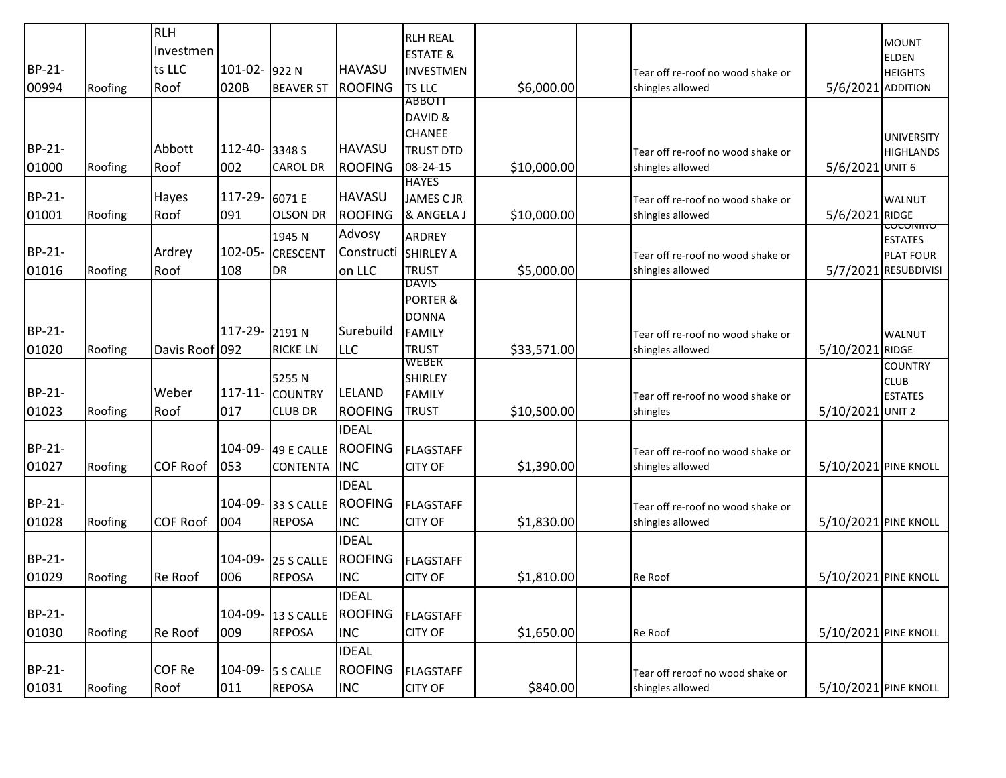| BP-21-<br>00994           | Roofing | <b>RLH</b><br>Investmen<br>ts LLC<br>Roof | 101-02-<br>020B           | 922 N<br><b>BEAVER ST</b>                 | <b>HAVASU</b><br><b>ROOFING</b>                  | <b>RLH REAL</b><br><b>ESTATE &amp;</b><br><b>INVESTMEN</b><br><b>TS LLC</b>               | \$6,000.00  | Tear off re-roof no wood shake or<br>shingles allowed | 5/6/2021 ADDITION    | <b>MOUNT</b><br><b>ELDEN</b><br><b>HEIGHTS</b>                                     |
|---------------------------|---------|-------------------------------------------|---------------------------|-------------------------------------------|--------------------------------------------------|-------------------------------------------------------------------------------------------|-------------|-------------------------------------------------------|----------------------|------------------------------------------------------------------------------------|
| BP-21-<br>01000<br>BP-21- | Roofing | Abbott<br>Roof<br>Hayes                   | 112-40-<br>002<br>117-29- | 3348 S<br><b>CAROL DR</b><br>6071 E       | <b>HAVASU</b><br><b>ROOFING</b><br><b>HAVASU</b> | <b>ABBOTT</b><br>DAVID &<br><b>CHANEE</b><br><b>TRUST DTD</b><br>08-24-15<br><b>HAYES</b> | \$10,000.00 | Tear off re-roof no wood shake or<br>shingles allowed | 5/6/2021 UNIT 6      | <b>UNIVERSITY</b><br><b>HIGHLANDS</b>                                              |
| 01001                     | Roofing | Roof                                      | 091                       | <b>OLSON DR</b>                           | <b>ROOFING</b>                                   | <b>JAMES C JR</b><br>& ANGELA J                                                           | \$10,000.00 | Tear off re-roof no wood shake or<br>shingles allowed | 5/6/2021 RIDGE       | <b>WALNUT</b>                                                                      |
| BP-21-<br>01016           | Roofing | Ardrey<br>Roof                            | 102-05-<br>108            | 1945 N<br><b>CRESCENT</b><br>DR           | Advosy<br>Constructi<br>on LLC                   | <b>ARDREY</b><br><b>SHIRLEY A</b><br><b>TRUST</b>                                         | \$5,000.00  | Tear off re-roof no wood shake or<br>shingles allowed |                      | <del>cucuininu</del><br><b>ESTATES</b><br><b>PLAT FOUR</b><br>5/7/2021 RESUBDIVISI |
| BP-21-<br>01020           | Roofing | Davis Roof 092                            | 117-29- 2191 N            | <b>RICKE LN</b>                           | Surebuild<br><b>LLC</b>                          | <b>DAVIS</b><br><b>PORTER &amp;</b><br><b>DONNA</b><br>FAMILY<br><b>TRUST</b>             | \$33,571.00 | Tear off re-roof no wood shake or<br>shingles allowed | 5/10/2021 RIDGE      | <b>WALNUT</b>                                                                      |
| BP-21-<br>01023           | Roofing | Weber<br>Roof                             | 117-11-<br>017            | 5255N<br><b>COUNTRY</b><br><b>CLUB DR</b> | <b>LELAND</b><br><b>ROOFING</b>                  | <b>WEBER</b><br>SHIRLEY<br><b>FAMILY</b><br><b>TRUST</b>                                  | \$10,500.00 | Tear off re-roof no wood shake or<br>shingles         | 5/10/2021 UNIT 2     | <b>COUNTRY</b><br><b>CLUB</b><br><b>ESTATES</b>                                    |
| BP-21-<br>01027           | Roofing | <b>COF Roof</b>                           | 104-09-<br>053            | 49 E CALLE<br><b>CONTENTA</b>             | <b>IDEAL</b><br><b>ROOFING</b><br><b>INC</b>     | <b>FLAGSTAFF</b><br><b>CITY OF</b>                                                        | \$1,390.00  | Tear off re-roof no wood shake or<br>shingles allowed | 5/10/2021 PINE KNOLL |                                                                                    |
| BP-21-<br>01028           | Roofing | <b>COF Roof</b>                           | 104-09-<br>004            | 33 S CALLE<br><b>REPOSA</b>               | <b>IDEAL</b><br><b>ROOFING</b><br><b>INC</b>     | FLAGSTAFF<br><b>CITY OF</b>                                                               | \$1,830.00  | Tear off re-roof no wood shake or<br>shingles allowed | 5/10/2021 PINE KNOLL |                                                                                    |
| BP-21-<br>01029           | Roofing | <b>Re Roof</b>                            | 104-09-<br>006            | 25 S CALLE<br><b>REPOSA</b>               | <b>IDEAL</b><br><b>ROOFING</b><br><b>INC</b>     | <b>FLAGSTAFF</b><br><b>CITY OF</b>                                                        | \$1,810.00  | <b>Re Roof</b>                                        | 5/10/2021 PINE KNOLL |                                                                                    |
| BP-21-<br>01030           | Roofing | Re Roof                                   | 009                       | 104-09- 13 S CALLE<br><b>REPOSA</b>       | <b>IDEAL</b><br><b>ROOFING</b><br><b>INC</b>     | FLAGSTAFF<br><b>CITY OF</b>                                                               | \$1,650.00  | Re Roof                                               | 5/10/2021 PINE KNOLL |                                                                                    |
| BP-21-<br>01031           | Roofing | <b>COF Re</b><br>Roof                     | 104-09-<br>011            | 5 S CALLE<br><b>REPOSA</b>                | <b>IDEAL</b><br><b>ROOFING</b><br><b>INC</b>     | FLAGSTAFF<br><b>CITY OF</b>                                                               | \$840.00    | Tear off reroof no wood shake or<br>shingles allowed  | 5/10/2021 PINE KNOLL |                                                                                    |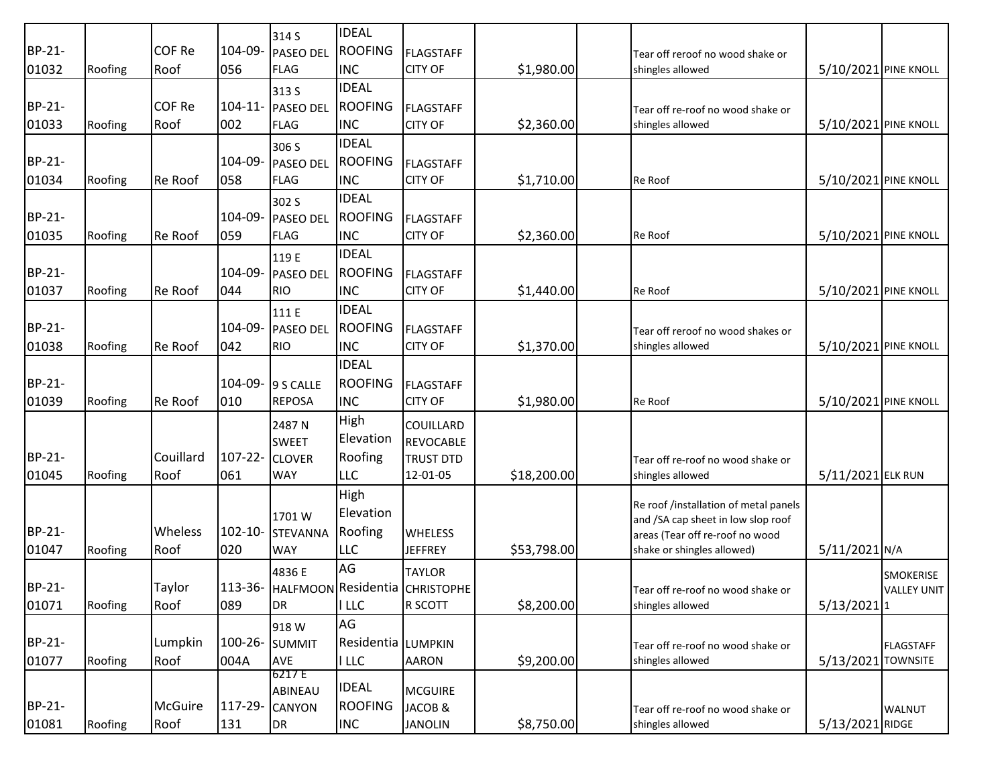|        |         |                |              | 314 S            | <b>IDEAL</b>       |                                        |             |                                       |                          |                    |
|--------|---------|----------------|--------------|------------------|--------------------|----------------------------------------|-------------|---------------------------------------|--------------------------|--------------------|
| BP-21- |         | <b>COF Re</b>  | 104-09-      | <b>PASEO DEL</b> | <b>ROOFING</b>     | <b>FLAGSTAFF</b>                       |             | Tear off reroof no wood shake or      |                          |                    |
| 01032  | Roofing | Roof           | 056          | FLAG             | <b>INC</b>         | <b>CITY OF</b>                         | \$1,980.00  | shingles allowed                      | 5/10/2021 PINE KNOLL     |                    |
|        |         |                |              | 313 S            | <b>IDEAL</b>       |                                        |             |                                       |                          |                    |
| BP-21- |         | <b>COF Re</b>  | $104 - 11$   | <b>PASEO DEL</b> | <b>ROOFING</b>     | <b>FLAGSTAFF</b>                       |             | Tear off re-roof no wood shake or     |                          |                    |
| 01033  | Roofing | Roof           | 002          | FLAG             | <b>INC</b>         | <b>CITY OF</b>                         | \$2,360.00  | shingles allowed                      | 5/10/2021 PINE KNOLL     |                    |
|        |         |                |              |                  | <b>IDEAL</b>       |                                        |             |                                       |                          |                    |
|        |         |                |              | 306 S            |                    |                                        |             |                                       |                          |                    |
| BP-21- |         |                | 104-09-      | <b>PASEO DEL</b> | <b>ROOFING</b>     | <b>FLAGSTAFF</b>                       |             |                                       |                          |                    |
| 01034  | Roofing | <b>Re Roof</b> | 058          | FLAG             | <b>INC</b>         | <b>CITY OF</b>                         | \$1,710.00  | <b>Re Roof</b>                        | 5/10/2021 PINE KNOLL     |                    |
|        |         |                |              | 302 S            | <b>IDEAL</b>       |                                        |             |                                       |                          |                    |
| BP-21- |         |                | 104-09-      | <b>PASEO DEL</b> | <b>ROOFING</b>     | <b>FLAGSTAFF</b>                       |             |                                       |                          |                    |
| 01035  | Roofing | <b>Re Roof</b> | 059          | FLAG             | <b>INC</b>         | <b>CITY OF</b>                         | \$2,360.00  | <b>Re Roof</b>                        | 5/10/2021 PINE KNOLL     |                    |
|        |         |                |              |                  | <b>IDEAL</b>       |                                        |             |                                       |                          |                    |
| BP-21- |         |                | 104-09-      | 119 E            | <b>ROOFING</b>     |                                        |             |                                       |                          |                    |
|        |         |                |              | <b>PASEO DEL</b> |                    | <b>FLAGSTAFF</b>                       |             |                                       |                          |                    |
| 01037  | Roofing | <b>Re Roof</b> | 044          | RIO              | <b>INC</b>         | <b>CITY OF</b>                         | \$1,440.00  | <b>Re Roof</b>                        | 5/10/2021 PINE KNOLL     |                    |
|        |         |                |              | 111 E            | <b>IDEAL</b>       |                                        |             |                                       |                          |                    |
| BP-21- |         |                | 104-09-      | <b>PASEO DEL</b> | <b>ROOFING</b>     | FLAGSTAFF                              |             | Tear off reroof no wood shakes or     |                          |                    |
| 01038  | Roofing | <b>Re Roof</b> | 042          | RIO              | <b>INC</b>         | <b>CITY OF</b>                         | \$1,370.00  | shingles allowed                      | 5/10/2021 PINE KNOLL     |                    |
|        |         |                |              |                  | <b>IDEAL</b>       |                                        |             |                                       |                          |                    |
| BP-21- |         |                | 104-09-      | 9 S CALLE        | <b>ROOFING</b>     | <b>FLAGSTAFF</b>                       |             |                                       |                          |                    |
| 01039  | Roofing | <b>Re Roof</b> | 010          | <b>REPOSA</b>    | <b>INC</b>         | <b>CITY OF</b>                         | \$1,980.00  | <b>Re Roof</b>                        | 5/10/2021 PINE KNOLL     |                    |
|        |         |                |              |                  |                    |                                        |             |                                       |                          |                    |
|        |         |                |              | 2487N            | High               | COUILLARD                              |             |                                       |                          |                    |
|        |         |                |              | <b>SWEET</b>     | Elevation          | <b>REVOCABLE</b>                       |             |                                       |                          |                    |
| BP-21- |         | Couillard      | 107-22-      | <b>CLOVER</b>    | Roofing            | <b>TRUST DTD</b>                       |             | Tear off re-roof no wood shake or     |                          |                    |
| 01045  | Roofing | Roof           | 061          | <b>WAY</b>       | <b>LLC</b>         | 12-01-05                               | \$18,200.00 | shingles allowed                      | 5/11/2021 ELK RUN        |                    |
|        |         |                |              |                  | High               |                                        |             |                                       |                          |                    |
|        |         |                |              | 1701W            | Elevation          |                                        |             | Re roof /installation of metal panels |                          |                    |
| BP-21- |         | Wheless        | $102 - 10 -$ |                  | Roofing            |                                        |             | and /SA cap sheet in low slop roof    |                          |                    |
|        |         |                |              | <b>STEVANNA</b>  |                    | <b>WHELESS</b>                         |             | areas (Tear off re-roof no wood       |                          |                    |
| 01047  | Roofing | Roof           | 020          | <b>WAY</b>       | LLC                | <b>JEFFREY</b>                         | \$53,798.00 | shake or shingles allowed)            | 5/11/2021 N/A            |                    |
|        |         |                |              | 4836 E           | AG                 | <b>TAYLOR</b>                          |             |                                       |                          | <b>SMOKERISE</b>   |
| BP-21- |         | <b>Taylor</b>  |              |                  |                    | 113-36- HALFMOON Residentia CHRISTOPHE |             | Tear off re-roof no wood shake or     |                          | <b>VALLEY UNIT</b> |
| 01071  | Roofing | Roof           | 089          | DR)              | <b>ILLC</b>        | R SCOTT                                | \$8,200.00  | shingles allowed                      | $5/13/2021$ <sup>1</sup> |                    |
|        |         |                |              | 918 W            | AG                 |                                        |             |                                       |                          |                    |
| BP-21- |         | Lumpkin        | 100-26-      | SUMMIT           | Residentia LUMPKIN |                                        |             |                                       |                          |                    |
|        |         |                |              |                  |                    |                                        |             | Tear off re-roof no wood shake or     |                          | <b>FLAGSTAFF</b>   |
| 01077  | Roofing | Roof           | 004A         | AVE<br>6217 E    | <b>ILLC</b>        | <b>AARON</b>                           | \$9,200.00  | shingles allowed                      | 5/13/2021 TOWNSITE       |                    |
|        |         |                |              | ABINEAU          | <b>IDEAL</b>       | <b>MCGUIRE</b>                         |             |                                       |                          |                    |
| BP-21- |         | <b>McGuire</b> | 117-29-      | <b>CANYON</b>    | <b>ROOFING</b>     | JACOB &                                |             |                                       |                          |                    |
|        |         |                |              |                  |                    |                                        |             | Tear off re-roof no wood shake or     |                          | <b>WALNUT</b>      |
| 01081  | Roofing | Roof           | 131          | DR               | <b>INC</b>         | <b>JANOLIN</b>                         | \$8,750.00  | shingles allowed                      | 5/13/2021 RIDGE          |                    |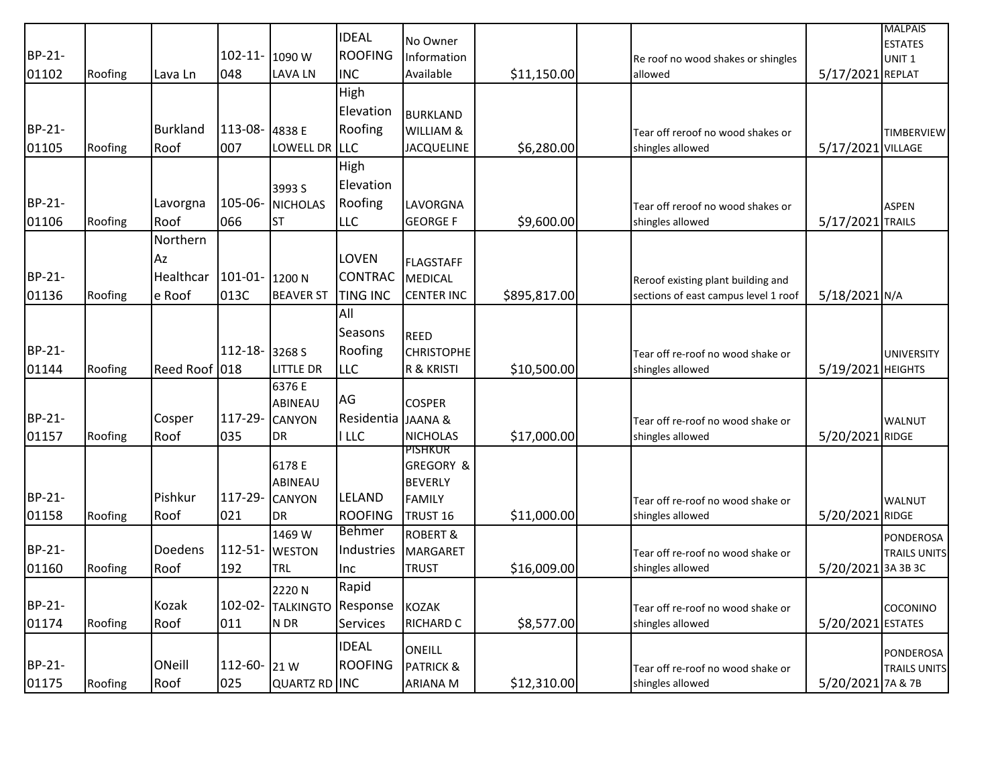|               |         |                  |                |                            |                                 |                      |              |                                                                            |                    | <b>MALPAIS</b>      |
|---------------|---------|------------------|----------------|----------------------------|---------------------------------|----------------------|--------------|----------------------------------------------------------------------------|--------------------|---------------------|
|               |         |                  |                |                            | <b>IDEAL</b>                    | No Owner             |              |                                                                            |                    | <b>ESTATES</b>      |
| BP-21-        |         |                  | 102-11- 1090 W |                            | <b>ROOFING</b>                  | Information          |              | Re roof no wood shakes or shingles                                         |                    | UNIT <sub>1</sub>   |
| 01102         | Roofing | Lava Ln          | 048            | <b>LAVA LN</b>             | <b>INC</b>                      | Available            | \$11,150.00  | allowed                                                                    | 5/17/2021 REPLAT   |                     |
|               |         |                  |                |                            | High                            |                      |              |                                                                            |                    |                     |
|               |         |                  |                |                            | Elevation                       |                      |              |                                                                            |                    |                     |
| BP-21-        |         |                  | 113-08-        |                            |                                 | BURKLAND             |              |                                                                            |                    |                     |
|               |         | Burkland         |                | 4838 E                     | Roofing                         | WILLIAM &            |              | Tear off reroof no wood shakes or                                          |                    | <b>TIMBERVIEW</b>   |
| 01105         | Roofing | Roof             | 007            | LOWELL DR                  | <b>LLC</b>                      | <b>JACQUELINE</b>    | \$6,280.00   | shingles allowed                                                           | 5/17/2021 VILLAGE  |                     |
|               |         |                  |                |                            | High                            |                      |              |                                                                            |                    |                     |
|               |         |                  |                | 3993 S                     | Elevation                       |                      |              |                                                                            |                    |                     |
| BP-21-        |         | Lavorgna         |                | 105-06- NICHOLAS           | Roofing                         | LAVORGNA             |              | Tear off reroof no wood shakes or                                          |                    | <b>ASPEN</b>        |
| 01106         | Roofing | Roof             | 066            | <b>ST</b>                  | LLC                             | <b>GEORGE F</b>      | \$9,600.00   | shingles allowed                                                           | 5/17/2021 TRAILS   |                     |
|               |         | Northern         |                |                            |                                 |                      |              |                                                                            |                    |                     |
|               |         | Az               |                |                            | LOVEN                           | <b>FLAGSTAFF</b>     |              |                                                                            |                    |                     |
| BP-21-        |         | <b>Healthcar</b> | $101 - 01 -$   | 1200 N                     | <b>CONTRAC</b>                  | MEDICAL              |              |                                                                            |                    |                     |
| 01136         | Roofing | e Roof           | 013C           | <b>BEAVER ST</b>           | <b>TING INC</b>                 | <b>CENTER INC</b>    | \$895,817.00 | Reroof existing plant building and<br>sections of east campus level 1 roof | 5/18/2021 N/A      |                     |
|               |         |                  |                |                            | All                             |                      |              |                                                                            |                    |                     |
|               |         |                  |                |                            |                                 |                      |              |                                                                            |                    |                     |
|               |         |                  |                |                            | Seasons                         | <b>REED</b>          |              |                                                                            |                    |                     |
| <b>BP-21-</b> |         |                  | 112-18-        | 3268 S                     | Roofing                         | <b>CHRISTOPHE</b>    |              | Tear off re-roof no wood shake or                                          |                    | <b>UNIVERSITY</b>   |
| 01144         | Roofing | <b>Reed Roof</b> | 018            | LITTLE DR                  | LLC                             | R & KRISTI           | \$10,500.00  | shingles allowed                                                           | 5/19/2021 HEIGHTS  |                     |
|               |         |                  |                | 6376 E                     |                                 |                      |              |                                                                            |                    |                     |
|               |         |                  |                | ABINEAU                    | AG                              | <b>COSPER</b>        |              |                                                                            |                    |                     |
| BP-21-        |         | Cosper           | 117-29-        | <b>CANYON</b>              | Residentia                      | JAANA &              |              | Tear off re-roof no wood shake or                                          |                    | <b>WALNUT</b>       |
| 01157         | Roofing | Roof             | 035            | <b>DR</b>                  | I LLC                           | <b>NICHOLAS</b>      | \$17,000.00  | shingles allowed                                                           | 5/20/2021 RIDGE    |                     |
|               |         |                  |                |                            |                                 | pishkur              |              |                                                                            |                    |                     |
|               |         |                  |                | 6178 E                     |                                 | GREGORY &            |              |                                                                            |                    |                     |
| BP-21-        |         | Pishkur          | 117-29-        | ABINEAU                    | LELAND                          | <b>BEVERLY</b>       |              |                                                                            |                    |                     |
|               |         |                  |                | <b>CANYON</b>              |                                 | <b>FAMILY</b>        |              | Tear off re-roof no wood shake or                                          |                    | <b>WALNUT</b>       |
| 01158         | Roofing | Roof             | 021            | <b>I</b> DR                | <b>ROOFING</b><br><b>Behmer</b> | TRUST 16             | \$11,000.00  | shingles allowed                                                           | 5/20/2021 RIDGE    |                     |
|               |         |                  |                | 1469 W                     |                                 | <b>ROBERT &amp;</b>  |              |                                                                            |                    | <b>PONDEROSA</b>    |
| BP-21-        |         | Doedens          | $112 - 51 -$   | <b>WESTON</b>              | Industries                      | MARGARET             |              | Tear off re-roof no wood shake or                                          |                    | <b>TRAILS UNITS</b> |
| 01160         | Roofing | Roof             | 192            | TRL                        | Inc                             | <b>TRUST</b>         | \$16,009.00  | shingles allowed                                                           | 5/20/2021 3A 3B 3C |                     |
|               |         |                  |                | 2220N                      | Rapid                           |                      |              |                                                                            |                    |                     |
| BP-21-        |         | Kozak            |                | 102-02- TALKINGTO Response |                                 | <b>KOZAK</b>         |              | Tear off re-roof no wood shake or                                          |                    | COCONINO            |
| 01174         | Roofing | Roof             | 011            | N DR                       | Services                        | <b>RICHARD C</b>     | \$8,577.00   | shingles allowed                                                           | 5/20/2021 ESTATES  |                     |
|               |         |                  |                |                            | <b>IDEAL</b>                    |                      |              |                                                                            |                    |                     |
| BP-21-        |         | ONeill           |                |                            | <b>ROOFING</b>                  | <b>ONEILL</b>        |              |                                                                            |                    | PONDEROSA           |
|               |         |                  | 112-60-21W     |                            |                                 | <b>PATRICK &amp;</b> |              | Tear off re-roof no wood shake or                                          |                    | <b>TRAILS UNITS</b> |
| 01175         | Roofing | Roof             | 025            | QUARTZ RD INC              |                                 | <b>ARIANA M</b>      | \$12,310.00  | shingles allowed                                                           | 5/20/2021 7A & 7B  |                     |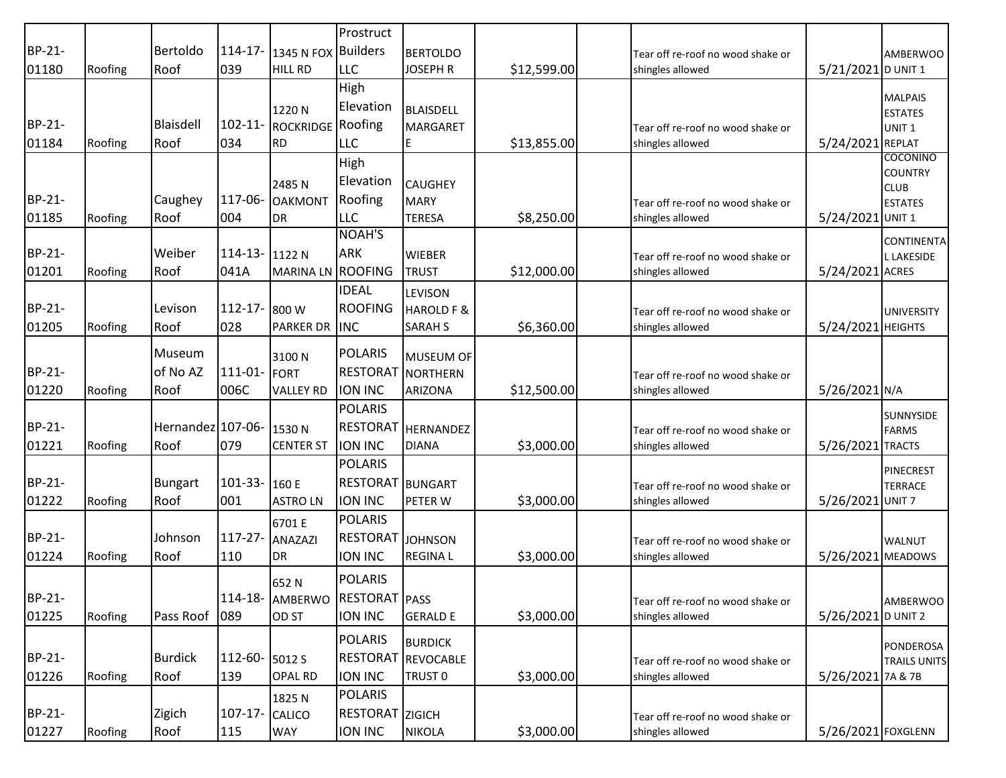|               |         |                   |                       |                               | Prostruct              |                                 |             |                                                       |                    |                                    |
|---------------|---------|-------------------|-----------------------|-------------------------------|------------------------|---------------------------------|-------------|-------------------------------------------------------|--------------------|------------------------------------|
| BP-21-        |         | Bertoldo          | 114-17-               | 1345 N FOX Builders           |                        | <b>BERTOLDO</b>                 |             | Tear off re-roof no wood shake or                     |                    | AMBERWOO                           |
| 01180         | Roofing | Roof              | 039                   | <b>HILL RD</b>                | <b>LLC</b>             | <b>JOSEPH R</b>                 | \$12,599.00 | shingles allowed                                      | 5/21/2021 D UNIT 1 |                                    |
|               |         |                   |                       | 1220N                         | High<br>Elevation      | <b>BLAISDELL</b>                |             |                                                       |                    | <b>MALPAIS</b><br><b>ESTATES</b>   |
| BP-21-        |         | Blaisdell         |                       | 102-11- ROCKRIDGE Roofing     |                        | <b>MARGARET</b>                 |             | Tear off re-roof no wood shake or                     |                    | UNIT <sub>1</sub>                  |
| 01184         | Roofing | Roof              | 034                   | RD                            | <b>LLC</b>             | E                               | \$13,855.00 | shingles allowed                                      | 5/24/2021 REPLAT   |                                    |
|               |         |                   |                       |                               | High                   |                                 |             |                                                       |                    | COCONINO                           |
|               |         |                   |                       | 2485N                         | Elevation              | <b>CAUGHEY</b>                  |             |                                                       |                    | <b>COUNTRY</b><br><b>CLUB</b>      |
| BP-21-        |         | Caughey           | 117-06-               | <b>OAKMONT</b>                | Roofing                | <b>MARY</b>                     |             | Tear off re-roof no wood shake or                     |                    | <b>ESTATES</b>                     |
| 01185         | Roofing | Roof              | 004                   | <b>I</b> DR                   | <b>LLC</b>             | <b>TERESA</b>                   | \$8,250.00  | shingles allowed                                      | 5/24/2021 UNIT 1   |                                    |
|               |         |                   |                       |                               | <b>NOAH'S</b>          |                                 |             |                                                       |                    | <b>CONTINENTA</b>                  |
| <b>BP-21-</b> |         | Weiber            | 114-13-               | 1122 N                        | <b>ARK</b>             | <b>WIEBER</b>                   |             | Tear off re-roof no wood shake or                     |                    | <b>L LAKESIDE</b>                  |
| 01201         | Roofing | Roof              | 041A                  | MARINA LN ROOFING             |                        | <b>TRUST</b>                    | \$12,000.00 | shingles allowed                                      | 5/24/2021 ACRES    |                                    |
|               |         |                   |                       |                               | <b>IDEAL</b>           | LEVISON                         |             |                                                       |                    |                                    |
| BP-21-        |         | Levison           | 112-17-               | 800 W                         | <b>ROOFING</b>         | <b>HAROLD F &amp;</b>           |             | Tear off re-roof no wood shake or                     |                    | <b>UNIVERSITY</b>                  |
| 01205         | Roofing | Roof              | 028                   | <b>PARKER DR</b>              | <b>INC</b>             | <b>SARAH S</b>                  | \$6,360.00  | shingles allowed                                      | 5/24/2021 HEIGHTS  |                                    |
|               |         | Museum            |                       | 3100N                         | <b>POLARIS</b>         | <b>MUSEUM OF</b>                |             |                                                       |                    |                                    |
| BP-21-        |         | of No AZ          | 111-01-               | FORT                          | <b>RESTORAT</b>        | NORTHERN                        |             | Tear off re-roof no wood shake or                     |                    |                                    |
| 01220         | Roofing | Roof              | 006C                  | <b>VALLEY RD</b>              | <b>ION INC</b>         | ARIZONA                         | \$12,500.00 | shingles allowed                                      | 5/26/2021 N/A      |                                    |
|               |         |                   |                       |                               | <b>POLARIS</b>         |                                 |             |                                                       |                    |                                    |
| BP-21-        |         | Hernandez 107-06- |                       | 1530N                         | <b>RESTORAT</b>        | HERNANDEZ                       |             | Tear off re-roof no wood shake or                     |                    | SUNNYSIDE<br><b>FARMS</b>          |
| 01221         | Roofing | Roof              | 079                   | <b>CENTER ST</b>              | <b>ION INC</b>         | <b>DIANA</b>                    | \$3,000.00  | shingles allowed                                      | 5/26/2021 TRACTS   |                                    |
|               |         |                   |                       |                               | <b>POLARIS</b>         |                                 |             |                                                       |                    |                                    |
| <b>BP-21-</b> |         | Bungart           | 101-33- 160 E         |                               | <b>RESTORAT</b>        | BUNGART                         |             | Tear off re-roof no wood shake or                     |                    | <b>PINECREST</b><br><b>TERRACE</b> |
| 01222         | Roofing | Roof              | 001                   | <b>ASTRO LN</b>               | <b>ION INC</b>         | PETER W                         | \$3,000.00  | shingles allowed                                      | 5/26/2021 UNIT 7   |                                    |
|               |         |                   |                       | 6701 E                        | <b>POLARIS</b>         |                                 |             |                                                       |                    |                                    |
| BP-21-        |         | Johnson           | 117-27-               | ANAZAZI                       | <b>RESTORAT</b>        | <b>JOHNSON</b>                  |             | Tear off re-roof no wood shake or                     |                    | <b>WALNUT</b>                      |
| 01224         | Roofing | Roof              | 110                   | <b>I</b> DR                   | <b>ION INC</b>         | <b>REGINAL</b>                  | \$3,000.00  | shingles allowed                                      | 5/26/2021 MEADOWS  |                                    |
|               |         |                   |                       | 652N                          | <b>POLARIS</b>         |                                 |             |                                                       |                    |                                    |
| BP-21-        |         |                   |                       | 114-18- AMBERWO RESTORAT PASS |                        |                                 |             | Tear off re-roof no wood shake or                     |                    | AMBERWOO                           |
| 01225         | Roofing | Pass Roof         | 089                   | OD ST                         | <b>ION INC</b>         | <b>GERALD E</b>                 | \$3,000.00  | shingles allowed                                      | 5/26/2021 D UNIT 2 |                                    |
|               |         |                   |                       |                               | <b>POLARIS</b>         |                                 |             |                                                       |                    |                                    |
| BP-21-        |         | <b>Burdick</b>    |                       |                               | <b>RESTORAT</b>        | <b>BURDICK</b>                  |             |                                                       |                    | PONDEROSA                          |
| 01226         | Roofing | Roof              | 112-60- 5012 S<br>139 | <b>OPAL RD</b>                | <b>ION INC</b>         | REVOCABLE<br>TRUST <sub>0</sub> | \$3,000.00  | Tear off re-roof no wood shake or<br>shingles allowed | 5/26/2021 7A & 7B  | <b>TRAILS UNITS</b>                |
|               |         |                   |                       |                               | <b>POLARIS</b>         |                                 |             |                                                       |                    |                                    |
| BP-21-        |         | Zigich            | $107 - 17$            | 1825N                         | <b>RESTORAT</b> ZIGICH |                                 |             |                                                       |                    |                                    |
| 01227         | Roofing | Roof              | 115                   | <b>CALICO</b><br><b>WAY</b>   | ION INC                | <b>NIKOLA</b>                   | \$3,000.00  | Tear off re-roof no wood shake or<br>shingles allowed | 5/26/2021 FOXGLENN |                                    |
|               |         |                   |                       |                               |                        |                                 |             |                                                       |                    |                                    |